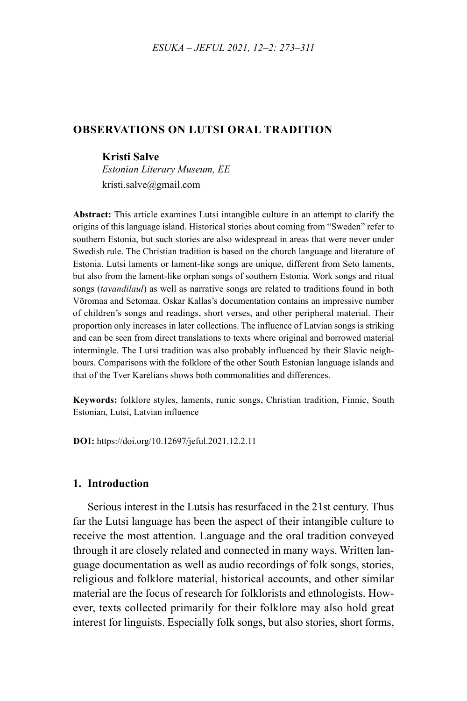### **OBSERVATIONS ON LUTSI ORAL TRADITION**

#### **Kristi Salve**

*Estonian Literary Museum, EE* [kristi.salve@gmail.com](mailto:kristi.salve@gmail.com)

**Abstract:** This article examines Lutsi intangible culture in an attempt to clarify the origins of this language island. Historical stories about coming from "Sweden" refer to southern Estonia, but such stories are also widespread in areas that were never under Swedish rule. The Christian tradition is based on the church language and literature of Estonia. Lutsi laments or lament-like songs are unique, different from Seto laments, but also from the lament-like orphan songs of southern Estonia. Work songs and ritual songs (*tavandilaul*) as well as narrative songs are related to traditions found in both Võromaa and Setomaa. Oskar Kallas's documentation contains an impressive number of children's songs and readings, short verses, and other peripheral material. Their proportion only increases in later collections. The influence of Latvian songs is striking and can be seen from direct translations to texts where original and borrowed material intermingle. The Lutsi tradition was also probably influenced by their Slavic neighbours. Comparisons with the folklore of the other South Estonian language islands and that of the Tver Karelians shows both commonalities and differences.

**Keywords:** folklore styles, laments, runic songs, Christian tradition, Finnic, South Estonian, Lutsi, Latvian influence

**DOI:** [https://doi.org/10.12697/jeful.2021.12.2.](https://doi.org/10.12697/jeful.2021.12.2.11)11

#### **1. Introduction**

Serious interest in the Lutsis has resurfaced in the 21st century. Thus far the Lutsi language has been the aspect of their intangible culture to receive the most attention. Language and the oral tradition conveyed through it are closely related and connected in many ways. Written language documentation as well as audio recordings of folk songs, stories, religious and folklore material, historical accounts, and other similar material are the focus of research for folklorists and ethnologists. However, texts collected primarily for their folklore may also hold great interest for linguists. Especially folk songs, but also stories, short forms,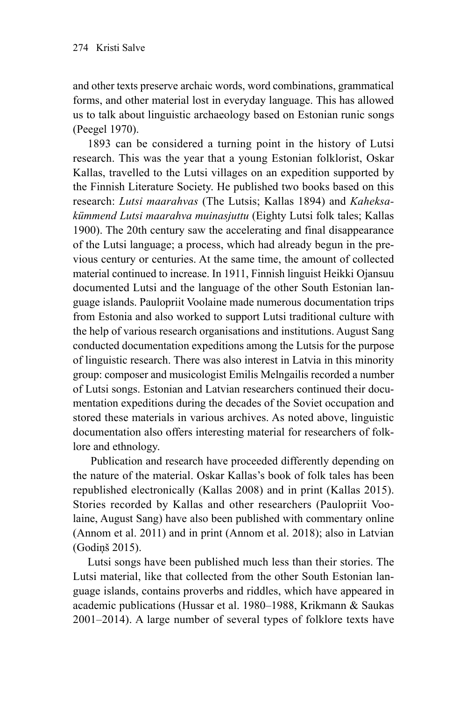and other texts preserve archaic words, word combinations, grammatical forms, and other material lost in everyday language. This has allowed us to talk about linguistic archaeology based on Estonian runic songs (Peegel 1970).

1893 can be considered a turning point in the history of Lutsi research. This was the year that a young Estonian folklorist, Oskar Kallas, travelled to the Lutsi villages on an expedition supported by the Finnish Literature Society. He published two books based on this research: *Lutsi maarahvas* (The Lutsis; Kallas 1894) and *Kaheksakümmend Lutsi maarahva muinasjuttu* (Eighty Lutsi folk tales; Kallas 1900). The 20th century saw the accelerating and final disappearance of the Lutsi language; a process, which had already begun in the previous century or centuries. At the same time, the amount of collected material continued to increase. In 1911, Finnish linguist Heikki Ojansuu documented Lutsi and the language of the other South Estonian language islands. Paulopriit Voolaine made numerous documentation trips from Estonia and also worked to support Lutsi traditional culture with the help of various research organisations and institutions. August Sang conducted documentation expeditions among the Lutsis for the purpose of linguistic research. There was also interest in Latvia in this minority group: composer and musicologist Emilis Melngailis recorded a number of Lutsi songs. Estonian and Latvian researchers continued their documentation expeditions during the decades of the Soviet occupation and stored these materials in various archives. As noted above, linguistic documentation also offers interesting material for researchers of folklore and ethnology.

 Publication and research have proceeded differently depending on the nature of the material. Oskar Kallas's book of folk tales has been republished electronically (Kallas 2008) and in print (Kallas 2015). Stories recorded by Kallas and other researchers (Paulopriit Voolaine, August Sang) have also been published with commentary online (Annom et al. 2011) and in print (Annom et al. 2018); also in Latvian (Godiņš 2015).

Lutsi songs have been published much less than their stories. The Lutsi material, like that collected from the other South Estonian language islands, contains proverbs and riddles, which have appeared in academic publications (Hussar et al. 1980–1988, Krikmann & Saukas 2001–2014). A large number of several types of folklore texts have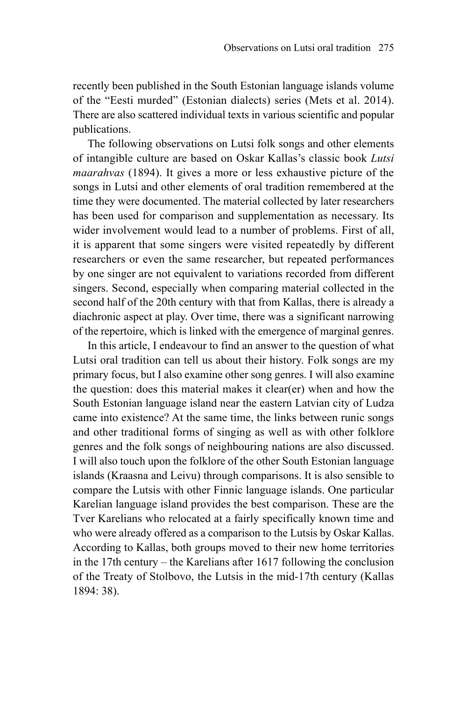recently been published in the South Estonian language islands volume of the "Eesti murded" (Estonian dialects) series (Mets et al. 2014). There are also scattered individual texts in various scientific and popular publications.

The following observations on Lutsi folk songs and other elements of intangible culture are based on Oskar Kallas's classic book *Lutsi maarahvas* (1894). It gives a more or less exhaustive picture of the songs in Lutsi and other elements of oral tradition remembered at the time they were documented. The material collected by later researchers has been used for comparison and supplementation as necessary. Its wider involvement would lead to a number of problems. First of all, it is apparent that some singers were visited repeatedly by different researchers or even the same researcher, but repeated performances by one singer are not equivalent to variations recorded from different singers. Second, especially when comparing material collected in the second half of the 20th century with that from Kallas, there is already a diachronic aspect at play. Over time, there was a significant narrowing of the repertoire, which is linked with the emergence of marginal genres.

In this article, I endeavour to find an answer to the question of what Lutsi oral tradition can tell us about their history. Folk songs are my primary focus, but I also examine other song genres. I will also examine the question: does this material makes it clear(er) when and how the South Estonian language island near the eastern Latvian city of Ludza came into existence? At the same time, the links between runic songs and other traditional forms of singing as well as with other folklore genres and the folk songs of neighbouring nations are also discussed. I will also touch upon the folklore of the other South Estonian language islands (Kraasna and Leivu) through comparisons. It is also sensible to compare the Lutsis with other Finnic language islands. One particular Karelian language island provides the best comparison. These are the Tver Karelians who relocated at a fairly specifically known time and who were already offered as a comparison to the Lutsis by Oskar Kallas. According to Kallas, both groups moved to their new home territories in the 17th century – the Karelians after 1617 following the conclusion of the Treaty of Stolbovo, the Lutsis in the mid-17th century (Kallas 1894: 38).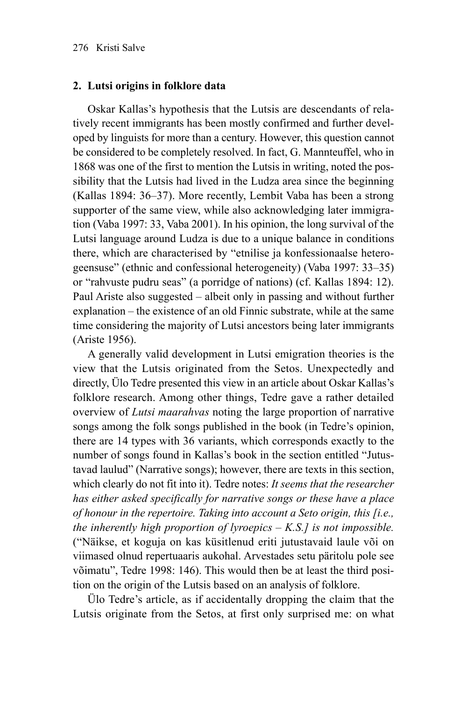### **2. Lutsi origins in folklore data**

Oskar Kallas's hypothesis that the Lutsis are descendants of relatively recent immigrants has been mostly confirmed and further developed by linguists for more than a century. However, this question cannot be considered to be completely resolved. In fact, G. Mannteuffel, who in 1868 was one of the first to mention the Lutsis in writing, noted the possibility that the Lutsis had lived in the Ludza area since the beginning (Kallas 1894: 36–37). More recently, Lembit Vaba has been a strong supporter of the same view, while also acknowledging later immigration (Vaba 1997: 33, Vaba 2001). In his opinion, the long survival of the Lutsi language around Ludza is due to a unique balance in conditions there, which are characterised by "etnilise ja konfessionaalse heterogeensuse" (ethnic and confessional heterogeneity) (Vaba 1997: 33–35) or "rahvuste pudru seas" (a porridge of nations) (cf. Kallas 1894: 12). Paul Ariste also suggested – albeit only in passing and without further explanation – the existence of an old Finnic substrate, while at the same time considering the majority of Lutsi ancestors being later immigrants (Ariste 1956).

A generally valid development in Lutsi emigration theories is the view that the Lutsis originated from the Setos. Unexpectedly and directly, Ülo Tedre presented this view in an article about Oskar Kallas's folklore research. Among other things, Tedre gave a rather detailed overview of *Lutsi maarahvas* noting the large proportion of narrative songs among the folk songs published in the book (in Tedre's opinion, there are 14 types with 36 variants, which corresponds exactly to the number of songs found in Kallas's book in the section entitled "Jutustavad laulud" (Narrative songs); however, there are texts in this section, which clearly do not fit into it). Tedre notes: *It seems that the researcher has either asked specifically for narrative songs or these have a place of honour in the repertoire. Taking into account a Seto origin, this [i.e., the inherently high proportion of lyroepics – K.S.] is not impossible.* ("Näikse, et koguja on kas küsitlenud eriti jutustavaid laule või on viimased olnud repertuaaris aukohal. Arvestades setu päritolu pole see võimatu", Tedre 1998: 146). This would then be at least the third position on the origin of the Lutsis based on an analysis of folklore.

Ülo Tedre's article, as if accidentally dropping the claim that the Lutsis originate from the Setos, at first only surprised me: on what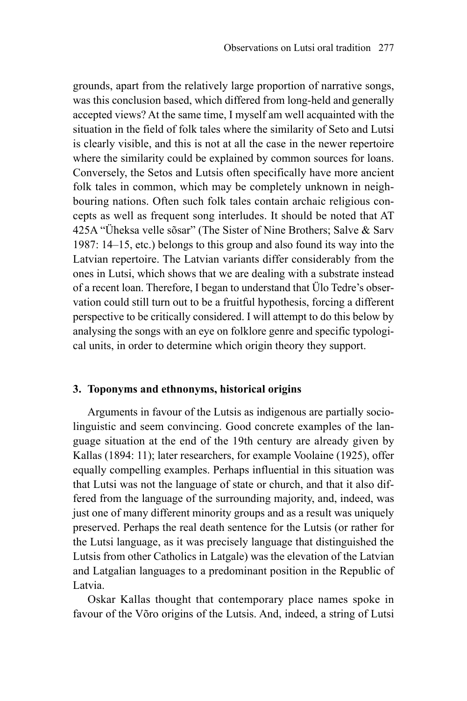grounds, apart from the relatively large proportion of narrative songs, was this conclusion based, which differed from long-held and generally accepted views? At the same time, I myself am well acquainted with the situation in the field of folk tales where the similarity of Seto and Lutsi is clearly visible, and this is not at all the case in the newer repertoire where the similarity could be explained by common sources for loans. Conversely, the Setos and Lutsis often specifically have more ancient folk tales in common, which may be completely unknown in neighbouring nations. Often such folk tales contain archaic religious concepts as well as frequent song interludes. It should be noted that AT 425A "Üheksa velle sõsar" (The Sister of Nine Brothers; Salve & Sarv 1987: 14–15, etc.) belongs to this group and also found its way into the Latvian repertoire. The Latvian variants differ considerably from the ones in Lutsi, which shows that we are dealing with a substrate instead of a recent loan. Therefore, I began to understand that Ülo Tedre's observation could still turn out to be a fruitful hypothesis, forcing a different perspective to be critically considered. I will attempt to do this below by analysing the songs with an eye on folklore genre and specific typological units, in order to determine which origin theory they support.

#### **3. Toponyms and ethnonyms, historical origins**

Arguments in favour of the Lutsis as indigenous are partially sociolinguistic and seem convincing. Good concrete examples of the language situation at the end of the 19th century are already given by Kallas (1894: 11); later researchers, for example Voolaine (1925), offer equally compelling examples. Perhaps influential in this situation was that Lutsi was not the language of state or church, and that it also differed from the language of the surrounding majority, and, indeed, was just one of many different minority groups and as a result was uniquely preserved. Perhaps the real death sentence for the Lutsis (or rather for the Lutsi language, as it was precisely language that distinguished the Lutsis from other Catholics in Latgale) was the elevation of the Latvian and Latgalian languages to a predominant position in the Republic of Latvia.

Oskar Kallas thought that contemporary place names spoke in favour of the Võro origins of the Lutsis. And, indeed, a string of Lutsi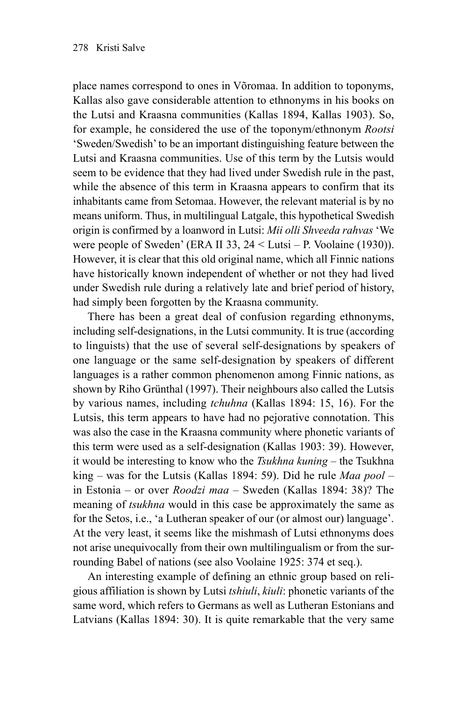place names correspond to ones in Võromaa. In addition to toponyms, Kallas also gave considerable attention to ethnonyms in his books on the Lutsi and Kraasna communities (Kallas 1894, Kallas 1903). So, for example, he considered the use of the toponym/ethnonym *Rootsi* 'Sweden/Swedish' to be an important distinguishing feature between the Lutsi and Kraasna communities. Use of this term by the Lutsis would seem to be evidence that they had lived under Swedish rule in the past, while the absence of this term in Kraasna appears to confirm that its inhabitants came from Setomaa. However, the relevant material is by no means uniform. Thus, in multilingual Latgale, this hypothetical Swedish origin is confirmed by a loanword in Lutsi: *Mii olli Shveeda rahvas* 'We were people of Sweden' (ERA II 33, 24 < Lutsi – P. Voolaine (1930)). However, it is clear that this old original name, which all Finnic nations have historically known independent of whether or not they had lived under Swedish rule during a relatively late and brief period of history, had simply been forgotten by the Kraasna community.

There has been a great deal of confusion regarding ethnonyms, including self-designations, in the Lutsi community. It is true (according to linguists) that the use of several self-designations by speakers of one language or the same self-designation by speakers of different languages is a rather common phenomenon among Finnic nations, as shown by Riho Grünthal (1997). Their neighbours also called the Lutsis by various names, including *tchuhna* (Kallas 1894: 15, 16). For the Lutsis, this term appears to have had no pejorative connotation. This was also the case in the Kraasna community where phonetic variants of this term were used as a self-designation (Kallas 1903: 39). However, it would be interesting to know who the *Tsukhna kuning* – the Tsukhna king – was for the Lutsis (Kallas 1894: 59). Did he rule *Maa pool* – in Estonia – or over *Roodzi maa* – Sweden (Kallas 1894: 38)? The meaning of *tsukhna* would in this case be approximately the same as for the Setos, i.e., 'a Lutheran speaker of our (or almost our) language'. At the very least, it seems like the mishmash of Lutsi ethnonyms does not arise unequivocally from their own multilingualism or from the surrounding Babel of nations (see also Voolaine 1925: 374 et seq.).

An interesting example of defining an ethnic group based on religious affiliation is shown by Lutsi *tshiuli*, *kiuli*: phonetic variants of the same word, which refers to Germans as well as Lutheran Estonians and Latvians (Kallas 1894: 30). It is quite remarkable that the very same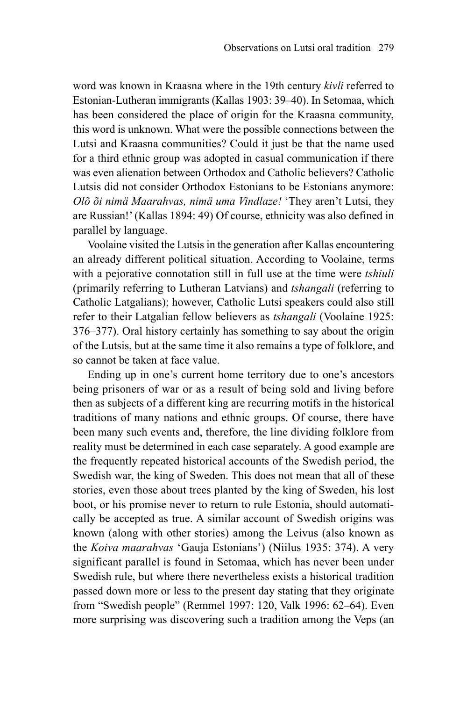word was known in Kraasna where in the 19th century *kivli* referred to Estonian-Lutheran immigrants (Kallas 1903: 39–40). In Setomaa, which has been considered the place of origin for the Kraasna community, this word is unknown. What were the possible connections between the Lutsi and Kraasna communities? Could it just be that the name used for a third ethnic group was adopted in casual communication if there was even alienation between Orthodox and Catholic believers? Catholic Lutsis did not consider Orthodox Estonians to be Estonians anymore: *Olõ õi nimä Maarahvas, nimä uma Vindlaze!* 'They aren't Lutsi, they are Russian!' (Kallas 1894: 49) Of course, ethnicity was also defined in parallel by language.

Voolaine visited the Lutsis in the generation after Kallas encountering an already different political situation. According to Voolaine, terms with a pejorative connotation still in full use at the time were *tshiuli* (primarily referring to Lutheran Latvians) and *tshangali* (referring to Catholic Latgalians); however, Catholic Lutsi speakers could also still refer to their Latgalian fellow believers as *tshangali* (Voolaine 1925: 376–377). Oral history certainly has something to say about the origin of the Lutsis, but at the same time it also remains a type of folklore, and so cannot be taken at face value.

Ending up in one's current home territory due to one's ancestors being prisoners of war or as a result of being sold and living before then as subjects of a different king are recurring motifs in the historical traditions of many nations and ethnic groups. Of course, there have been many such events and, therefore, the line dividing folklore from reality must be determined in each case separately. A good example are the frequently repeated historical accounts of the Swedish period, the Swedish war, the king of Sweden. This does not mean that all of these stories, even those about trees planted by the king of Sweden, his lost boot, or his promise never to return to rule Estonia, should automatically be accepted as true. A similar account of Swedish origins was known (along with other stories) among the Leivus (also known as the *Koiva maarahvas* 'Gauja Estonians') (Niilus 1935: 374). A very significant parallel is found in Setomaa, which has never been under Swedish rule, but where there nevertheless exists a historical tradition passed down more or less to the present day stating that they originate from "Swedish people" (Remmel 1997: 120, Valk 1996: 62–64). Even more surprising was discovering such a tradition among the Veps (an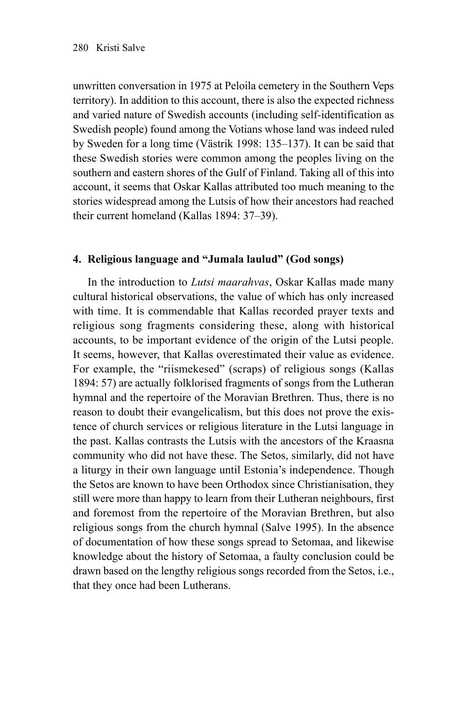unwritten conversation in 1975 at Peloila cemetery in the Southern Veps territory). In addition to this account, there is also the expected richness and varied nature of Swedish accounts (including self-identification as Swedish people) found among the Votians whose land was indeed ruled by Sweden for a long time (Västrik 1998: 135–137). It can be said that these Swedish stories were common among the peoples living on the southern and eastern shores of the Gulf of Finland. Taking all of this into account, it seems that Oskar Kallas attributed too much meaning to the stories widespread among the Lutsis of how their ancestors had reached their current homeland (Kallas 1894: 37–39).

# **4. Religious language and "Jumala laulud" (God songs)**

In the introduction to *Lutsi maarahvas*, Oskar Kallas made many cultural historical observations, the value of which has only increased with time. It is commendable that Kallas recorded prayer texts and religious song fragments considering these, along with historical accounts, to be important evidence of the origin of the Lutsi people. It seems, however, that Kallas overestimated their value as evidence. For example, the "riismekesed" (scraps) of religious songs (Kallas 1894: 57) are actually folklorised fragments of songs from the Lutheran hymnal and the repertoire of the Moravian Brethren. Thus, there is no reason to doubt their evangelicalism, but this does not prove the existence of church services or religious literature in the Lutsi language in the past. Kallas contrasts the Lutsis with the ancestors of the Kraasna community who did not have these. The Setos, similarly, did not have a liturgy in their own language until Estonia's independence. Though the Setos are known to have been Orthodox since Christianisation, they still were more than happy to learn from their Lutheran neighbours, first and foremost from the repertoire of the Moravian Brethren, but also religious songs from the church hymnal (Salve 1995). In the absence of documentation of how these songs spread to Setomaa, and likewise knowledge about the history of Setomaa, a faulty conclusion could be drawn based on the lengthy religious songs recorded from the Setos, i.e., that they once had been Lutherans.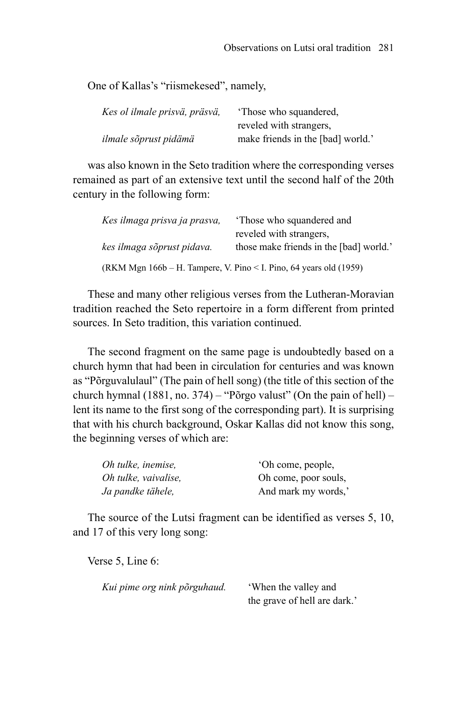One of Kallas's "riismekesed", namely,

| Kes ol ilmale prisvä, präsvä, | 'Those who squandered,            |
|-------------------------------|-----------------------------------|
|                               | reveled with strangers,           |
| ilmale sõprust pidämä         | make friends in the [bad] world.' |

was also known in the Seto tradition where the corresponding verses remained as part of an extensive text until the second half of the 20th century in the following form:

| Kes ilmaga prisva ja prasva,                                          | 'Those who squandered and               |
|-----------------------------------------------------------------------|-----------------------------------------|
|                                                                       | reveled with strangers,                 |
| kes ilmaga sõprust pidava.                                            | those make friends in the [bad] world.' |
| (RKM Mgn $166b - H$ . Tampere, V. Pino < I. Pino, 64 years old (1959) |                                         |

These and many other religious verses from the Lutheran-Moravian tradition reached the Seto repertoire in a form different from printed sources. In Seto tradition, this variation continued.

The second fragment on the same page is undoubtedly based on a church hymn that had been in circulation for centuries and was known as "Põrguvalulaul" (The pain of hell song) (the title of this section of the church hymnal (1881, no. 374) – "Põrgo valust" (On the pain of hell) – lent its name to the first song of the corresponding part). It is surprising that with his church background, Oskar Kallas did not know this song, the beginning verses of which are:

| Oh tulke, inemise,   | 'Oh come, people,    |
|----------------------|----------------------|
| Oh tulke, vaivalise, | Oh come, poor souls, |
| Ja pandke tähele,    | And mark my words,'  |

The source of the Lutsi fragment can be identified as verses 5, 10, and 17 of this very long song:

Verse 5, Line 6:

| Kui pime org nink põrguhaud. | 'When the valley and         |
|------------------------------|------------------------------|
|                              | the grave of hell are dark.' |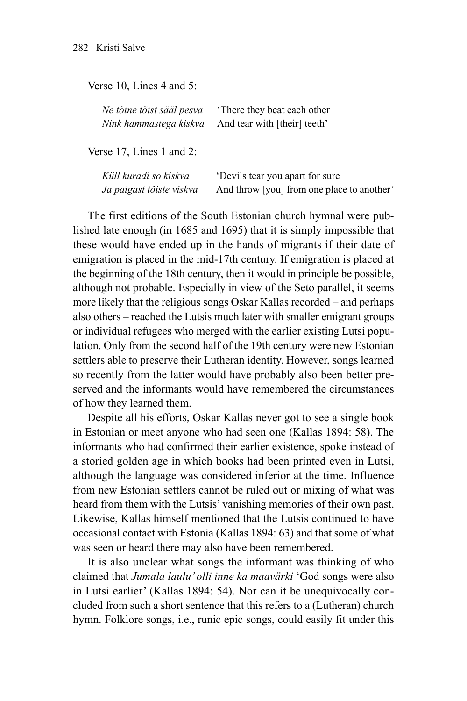Verse 10, Lines 4 and 5:

*Ne tõine tõist sääl pesva* 'There they beat each other *Nink hammastega kiskva* And tear with [their] teeth'

Verse 17, Lines 1 and 2:

*Küll kuradi so kiskva* 'Devils tear you apart for sure *Ja paigast tõiste viskva* And throw [you] from one place to another'

The first editions of the South Estonian church hymnal were published late enough (in 1685 and 1695) that it is simply impossible that these would have ended up in the hands of migrants if their date of emigration is placed in the mid-17th century. If emigration is placed at the beginning of the 18th century, then it would in principle be possible, although not probable. Especially in view of the Seto parallel, it seems more likely that the religious songs Oskar Kallas recorded – and perhaps also others – reached the Lutsis much later with smaller emigrant groups or individual refugees who merged with the earlier existing Lutsi population. Only from the second half of the 19th century were new Estonian settlers able to preserve their Lutheran identity. However, songs learned so recently from the latter would have probably also been better preserved and the informants would have remembered the circumstances of how they learned them.

Despite all his efforts, Oskar Kallas never got to see a single book in Estonian or meet anyone who had seen one (Kallas 1894: 58). The informants who had confirmed their earlier existence, spoke instead of a storied golden age in which books had been printed even in Lutsi, although the language was considered inferior at the time. Influence from new Estonian settlers cannot be ruled out or mixing of what was heard from them with the Lutsis' vanishing memories of their own past. Likewise, Kallas himself mentioned that the Lutsis continued to have occasional contact with Estonia (Kallas 1894: 63) and that some of what was seen or heard there may also have been remembered.

It is also unclear what songs the informant was thinking of who claimed that *Jumala laulu' olli inne ka maavärki* 'God songs were also in Lutsi earlier' (Kallas 1894: 54). Nor can it be unequivocally concluded from such a short sentence that this refers to a (Lutheran) church hymn. Folklore songs, i.e., runic epic songs, could easily fit under this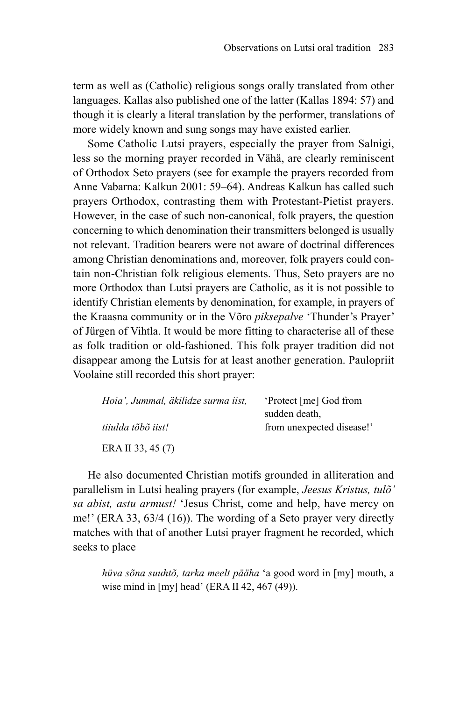term as well as (Catholic) religious songs orally translated from other languages. Kallas also published one of the latter (Kallas 1894: 57) and though it is clearly a literal translation by the performer, translations of more widely known and sung songs may have existed earlier.

Some Catholic Lutsi prayers, especially the prayer from Salnigi, less so the morning prayer recorded in Vähä, are clearly reminiscent of Orthodox Seto prayers (see for example the prayers recorded from Anne Vabarna: Kalkun 2001: 59–64). Andreas Kalkun has called such prayers Orthodox, contrasting them with Protestant-Pietist prayers. However, in the case of such non-canonical, folk prayers, the question concerning to which denomination their transmitters belonged is usually not relevant. Tradition bearers were not aware of doctrinal differences among Christian denominations and, moreover, folk prayers could contain non-Christian folk religious elements. Thus, Seto prayers are no more Orthodox than Lutsi prayers are Catholic, as it is not possible to identify Christian elements by denomination, for example, in prayers of the Kraasna community or in the Võro *piksepalve* 'Thunder's Prayer' of Jürgen of Vihtla. It would be more fitting to characterise all of these as folk tradition or old-fashioned. This folk prayer tradition did not disappear among the Lutsis for at least another generation. Paulopriit Voolaine still recorded this short prayer:

| Hoia', Jummal, äkilidze surma iist, | 'Protect [me] God from    |  |
|-------------------------------------|---------------------------|--|
|                                     | sudden death,             |  |
| tiiulda tõbõ iist!                  | from unexpected disease!' |  |
| ERA II 33, 45 (7)                   |                           |  |

He also documented Christian motifs grounded in alliteration and parallelism in Lutsi healing prayers (for example, *Jeesus Kristus, tulõ' sa abist, astu armust!* 'Jesus Christ, come and help, have mercy on me!' (ERA 33, 63/4 (16)). The wording of a Seto prayer very directly matches with that of another Lutsi prayer fragment he recorded, which seeks to place

*hüva sõna suuhtõ, tarka meelt pääha* 'a good word in [my] mouth, a wise mind in [my] head' (ERA II 42, 467 (49)).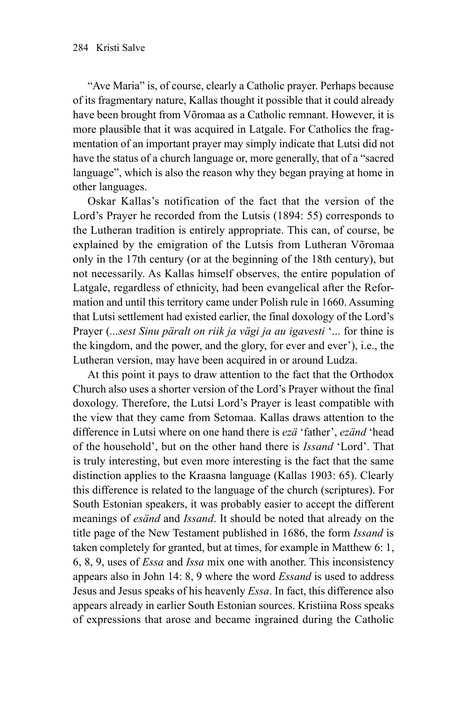"Ave Maria" is, of course, clearly a Catholic prayer. Perhaps because of its fragmentary nature, Kallas thought it possible that it could already have been brought from Võromaa as a Catholic remnant. However, it is more plausible that it was acquired in Latgale. For Catholics the fragmentation of an important prayer may simply indicate that Lutsi did not have the status of a church language or, more generally, that of a "sacred language", which is also the reason why they began praying at home in other languages.

Oskar Kallas's notification of the fact that the version of the Lord's Prayer he recorded from the Lutsis (1894: 55) corresponds to the Lutheran tradition is entirely appropriate. This can, of course, be explained by the emigration of the Lutsis from Lutheran Võromaa only in the 17th century (or at the beginning of the 18th century), but not necessarily. As Kallas himself observes, the entire population of Latgale, regardless of ethnicity, had been evangelical after the Reformation and until this territory came under Polish rule in 1660. Assuming that Lutsi settlement had existed earlier, the final doxology of the Lord's Prayer (*...sest Sinu päralt on riik ja vägi ja au igavesti* '... for thine is the kingdom, and the power, and the glory, for ever and ever'), i.e., the Lutheran version, may have been acquired in or around Ludza.

At this point it pays to draw attention to the fact that the Orthodox Church also uses a shorter version of the Lord's Prayer without the final doxology. Therefore, the Lutsi Lord's Prayer is least compatible with the view that they came from Setomaa. Kallas draws attention to the difference in Lutsi where on one hand there is *ezä* 'father', *ezänd* 'head of the household', but on the other hand there is *Issand* 'Lord'. That is truly interesting, but even more interesting is the fact that the same distinction applies to the Kraasna language (Kallas 1903: 65). Clearly this difference is related to the language of the church (scriptures). For South Estonian speakers, it was probably easier to accept the different meanings of *esänd* and *Issand*. It should be noted that already on the title page of the New Testament published in 1686, the form *Issand* is taken completely for granted, but at times, for example in Matthew 6: 1, 6, 8, 9, uses of *Essa* and *Issa* mix one with another. This inconsistency appears also in John 14: 8, 9 where the word *Essand* is used to address Jesus and Jesus speaks of his heavenly *Essa*. In fact, this difference also appears already in earlier South Estonian sources. Kristiina Ross speaks of expressions that arose and became ingrained during the Catholic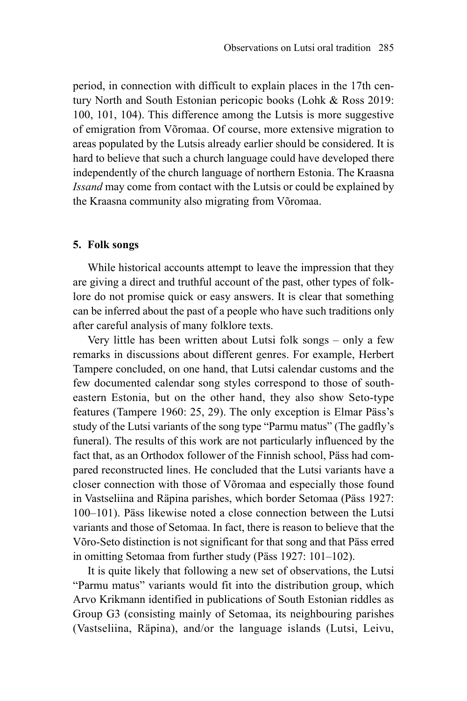period, in connection with difficult to explain places in the 17th century North and South Estonian pericopic books (Lohk & Ross 2019: 100, 101, 104). This difference among the Lutsis is more suggestive of emigration from Võromaa. Of course, more extensive migration to areas populated by the Lutsis already earlier should be considered. It is hard to believe that such a church language could have developed there independently of the church language of northern Estonia. The Kraasna *Issand* may come from contact with the Lutsis or could be explained by the Kraasna community also migrating from Võromaa.

#### **5. Folk songs**

While historical accounts attempt to leave the impression that they are giving a direct and truthful account of the past, other types of folklore do not promise quick or easy answers. It is clear that something can be inferred about the past of a people who have such traditions only after careful analysis of many folklore texts.

Very little has been written about Lutsi folk songs – only a few remarks in discussions about different genres. For example, Herbert Tampere concluded, on one hand, that Lutsi calendar customs and the few documented calendar song styles correspond to those of southeastern Estonia, but on the other hand, they also show Seto-type features (Tampere 1960: 25, 29). The only exception is Elmar Päss's study of the Lutsi variants of the song type "Parmu matus" (The gadfly's funeral). The results of this work are not particularly influenced by the fact that, as an Orthodox follower of the Finnish school, Päss had compared reconstructed lines. He concluded that the Lutsi variants have a closer connection with those of Võromaa and especially those found in Vastseliina and Räpina parishes, which border Setomaa (Päss 1927: 100–101). Päss likewise noted a close connection between the Lutsi variants and those of Setomaa. In fact, there is reason to believe that the Võro-Seto distinction is not significant for that song and that Päss erred in omitting Setomaa from further study (Päss 1927: 101–102).

It is quite likely that following a new set of observations, the Lutsi "Parmu matus" variants would fit into the distribution group, which Arvo Krikmann identified in publications of South Estonian riddles as Group G3 (consisting mainly of Setomaa, its neighbouring parishes (Vastseliina, Räpina), and/or the language islands (Lutsi, Leivu,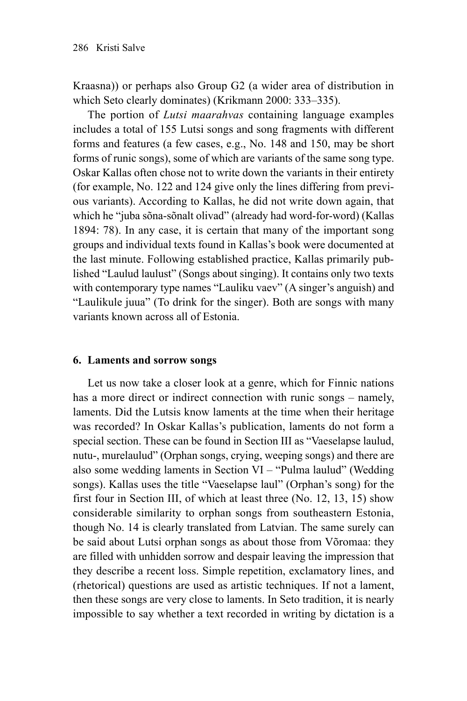Kraasna)) or perhaps also Group G2 (a wider area of distribution in which Seto clearly dominates) (Krikmann 2000: 333–335).

The portion of *Lutsi maarahvas* containing language examples includes a total of 155 Lutsi songs and song fragments with different forms and features (a few cases, e.g., No. 148 and 150, may be short forms of runic songs), some of which are variants of the same song type. Oskar Kallas often chose not to write down the variants in their entirety (for example, No. 122 and 124 give only the lines differing from previous variants). According to Kallas, he did not write down again, that which he "juba sõna-sõnalt olivad" (already had word-for-word) (Kallas 1894: 78). In any case, it is certain that many of the important song groups and individual texts found in Kallas's book were documented at the last minute. Following established practice, Kallas primarily published "Laulud laulust" (Songs about singing). It contains only two texts with contemporary type names "Lauliku vaev" (A singer's anguish) and "Laulikule juua" (To drink for the singer). Both are songs with many variants known across all of Estonia.

## **6. Laments and sorrow songs**

Let us now take a closer look at a genre, which for Finnic nations has a more direct or indirect connection with runic songs – namely, laments. Did the Lutsis know laments at the time when their heritage was recorded? In Oskar Kallas's publication, laments do not form a special section. These can be found in Section III as "Vaeselapse laulud, nutu-, murelaulud" (Orphan songs, crying, weeping songs) and there are also some wedding laments in Section VI – "Pulma laulud" (Wedding songs). Kallas uses the title "Vaeselapse laul" (Orphan's song) for the first four in Section III, of which at least three (No. 12, 13, 15) show considerable similarity to orphan songs from southeastern Estonia, though No. 14 is clearly translated from Latvian. The same surely can be said about Lutsi orphan songs as about those from Võromaa: they are filled with unhidden sorrow and despair leaving the impression that they describe a recent loss. Simple repetition, exclamatory lines, and (rhetorical) questions are used as artistic techniques. If not a lament, then these songs are very close to laments. In Seto tradition, it is nearly impossible to say whether a text recorded in writing by dictation is a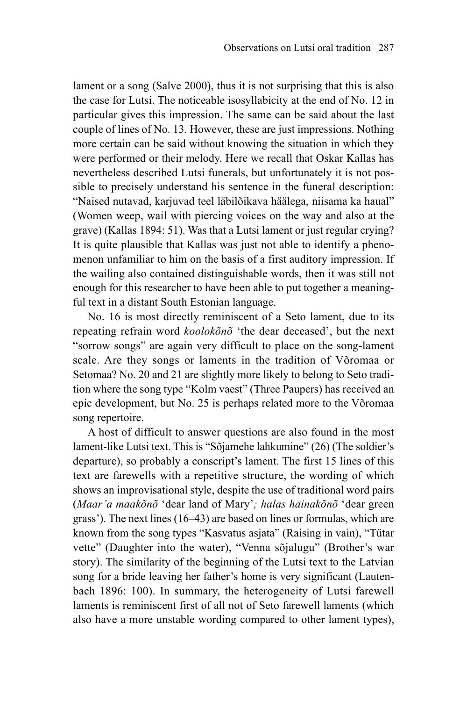lament or a song (Salve 2000), thus it is not surprising that this is also the case for Lutsi. The noticeable isosyllabicity at the end of No. 12 in particular gives this impression. The same can be said about the last couple of lines of No. 13. However, these are just impressions. Nothing more certain can be said without knowing the situation in which they were performed or their melody. Here we recall that Oskar Kallas has nevertheless described Lutsi funerals, but unfortunately it is not possible to precisely understand his sentence in the funeral description: "Naised nutavad, karjuvad teel läbilõikava häälega, niisama ka haual" (Women weep, wail with piercing voices on the way and also at the grave) (Kallas 1894: 51). Was that a Lutsi lament or just regular crying? It is quite plausible that Kallas was just not able to identify a phenomenon unfamiliar to him on the basis of a first auditory impression. If the wailing also contained distinguishable words, then it was still not enough for this researcher to have been able to put together a meaningful text in a distant South Estonian language.

No. 16 is most directly reminiscent of a Seto lament, due to its repeating refrain word *koolokõnõ* 'the dear deceased', but the next "sorrow songs" are again very difficult to place on the song-lament scale. Are they songs or laments in the tradition of Võromaa or Setomaa? No. 20 and 21 are slightly more likely to belong to Seto tradition where the song type "Kolm vaest" (Three Paupers) has received an epic development, but No. 25 is perhaps related more to the Võromaa song repertoire.

A host of difficult to answer questions are also found in the most lament-like Lutsi text. This is "Sõjamehe lahkumine" (26) (The soldier's departure), so probably a conscript's lament. The first 15 lines of this text are farewells with a repetitive structure, the wording of which shows an improvisational style, despite the use of traditional word pairs (*Maar'a maakõnõ* 'dear land of Mary'*; halas hainakõnõ* 'dear green grass'). The next lines (16–43) are based on lines or formulas, which are known from the song types "Kasvatus asjata" (Raising in vain), "Tütar vette" (Daughter into the water), "Venna sõjalugu" (Brother's war story). The similarity of the beginning of the Lutsi text to the Latvian song for a bride leaving her father's home is very significant (Lautenbach 1896: 100). In summary, the heterogeneity of Lutsi farewell laments is reminiscent first of all not of Seto farewell laments (which also have a more unstable wording compared to other lament types),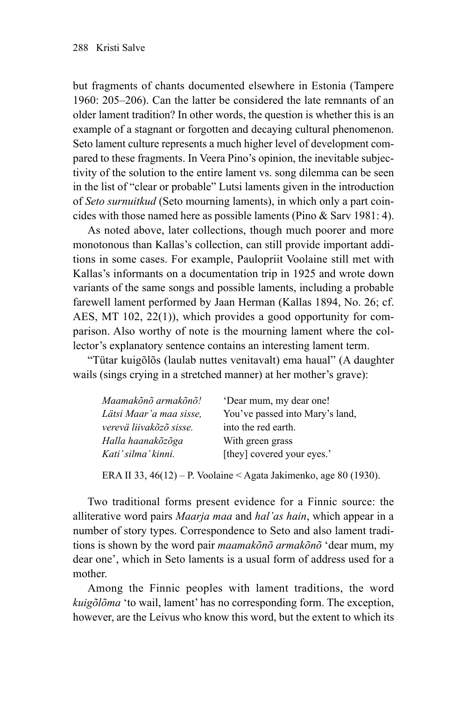but fragments of chants documented elsewhere in Estonia (Tampere 1960: 205–206). Can the latter be considered the late remnants of an older lament tradition? In other words, the question is whether this is an example of a stagnant or forgotten and decaying cultural phenomenon. Seto lament culture represents a much higher level of development compared to these fragments. In Veera Pino's opinion, the inevitable subjectivity of the solution to the entire lament vs. song dilemma can be seen in the list of "clear or probable" Lutsi laments given in the introduction of *Seto surnuitkud* (Seto mourning laments), in which only a part coincides with those named here as possible laments (Pino & Sarv 1981: 4).

As noted above, later collections, though much poorer and more monotonous than Kallas's collection, can still provide important additions in some cases. For example, Paulopriit Voolaine still met with Kallas's informants on a documentation trip in 1925 and wrote down variants of the same songs and possible laments, including a probable farewell lament performed by Jaan Herman (Kallas 1894, No. 26; cf. AES, MT 102, 22(1)), which provides a good opportunity for comparison. Also worthy of note is the mourning lament where the collector's explanatory sentence contains an interesting lament term.

"Tütar kuigõlõs (laulab nuttes venitavalt) ema haual" (A daughter wails (sings crying in a stretched manner) at her mother's grave):

| Maamakõnõ armakõnõ!      | 'Dear mum, my dear one!         |
|--------------------------|---------------------------------|
| Lätsi Maar 'a maa sisse. | You've passed into Mary's land, |
| verevä liivakõzõ sisse.  | into the red earth.             |
| Halla haanakõzõga        | With green grass                |
| Kati'silma'kinni.        | [they] covered your eyes.'      |

ERA II 33, 46(12) – P. Voolaine < Agata Jakimenko, age 80 (1930).

Two traditional forms present evidence for a Finnic source: the alliterative word pairs *Maarja maa* and *hal'as hain*, which appear in a number of story types. Correspondence to Seto and also lament traditions is shown by the word pair *maamakõnõ armakõnõ* 'dear mum, my dear one', which in Seto laments is a usual form of address used for a mother.

Among the Finnic peoples with lament traditions, the word *kuigõlõma* 'to wail, lament' has no corresponding form. The exception, however, are the Leivus who know this word, but the extent to which its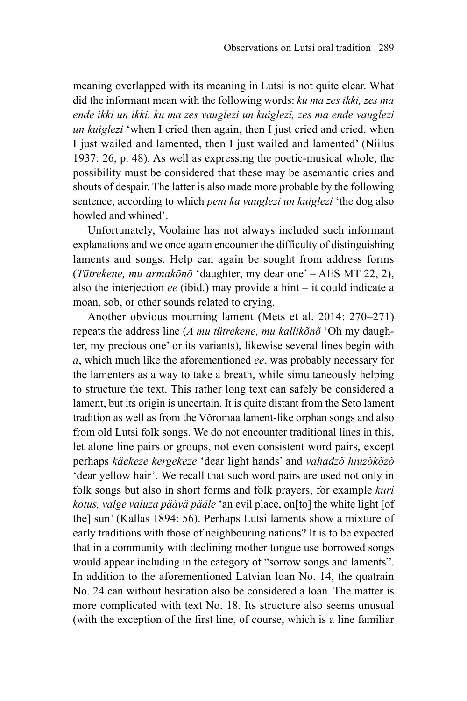meaning overlapped with its meaning in Lutsi is not quite clear. What did the informant mean with the following words: *ku ma zes ikki, zes ma ende ikki un ikki. ku ma zes vauglezi un kuiglezi, zes ma ende vauglezi un kuiglezi* 'when I cried then again, then I just cried and cried. when I just wailed and lamented, then I just wailed and lamented' (Niilus 1937: 26, p. 48). As well as expressing the poetic-musical whole, the possibility must be considered that these may be asemantic cries and shouts of despair. The latter is also made more probable by the following sentence, according to which *peni ka vauglezi un kuiglezi* 'the dog also howled and whined'.

Unfortunately, Voolaine has not always included such informant explanations and we once again encounter the difficulty of distinguishing laments and songs. Help can again be sought from address forms (*Tütrekene, mu armakõnõ* 'daughter, my dear one' – AES MT 22, 2), also the interjection *ee* (ibid.) may provide a hint – it could indicate a moan, sob, or other sounds related to crying.

Another obvious mourning lament (Mets et al. 2014: 270–271) repeats the address line (*A mu tütrekene, mu kallikõnõ* 'Oh my daughter, my precious one' or its variants), likewise several lines begin with *a*, which much like the aforementioned *ee*, was probably necessary for the lamenters as a way to take a breath, while simultaneously helping to structure the text. This rather long text can safely be considered a lament, but its origin is uncertain. It is quite distant from the Seto lament tradition as well as from the Võromaa lament-like orphan songs and also from old Lutsi folk songs. We do not encounter traditional lines in this, let alone line pairs or groups, not even consistent word pairs, except perhaps *käekeze kergekeze* 'dear light hands' and *vahadzõ hiuzõkõzõ* 'dear yellow hair'. We recall that such word pairs are used not only in folk songs but also in short forms and folk prayers, for example *kuri kotus, valge valuza päävä pääle* 'an evil place, on[to] the white light [of the] sun' (Kallas 1894: 56). Perhaps Lutsi laments show a mixture of early traditions with those of neighbouring nations? It is to be expected that in a community with declining mother tongue use borrowed songs would appear including in the category of "sorrow songs and laments". In addition to the aforementioned Latvian loan No. 14, the quatrain No. 24 can without hesitation also be considered a loan. The matter is more complicated with text No. 18. Its structure also seems unusual (with the exception of the first line, of course, which is a line familiar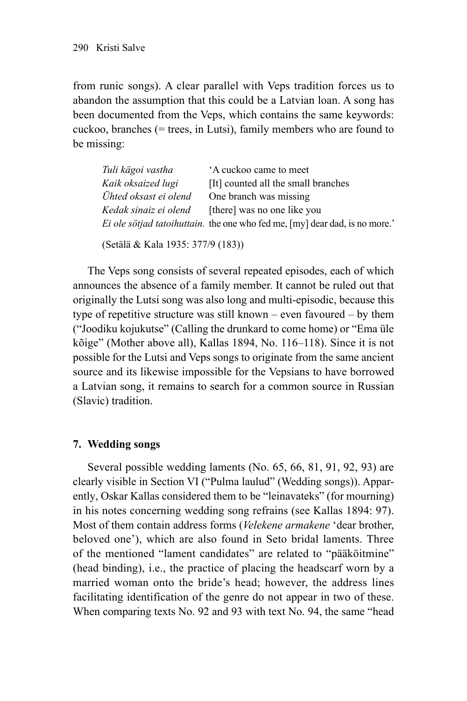from runic songs). A clear parallel with Veps tradition forces us to abandon the assumption that this could be a Latvian loan. A song has been documented from the Veps, which contains the same keywords: cuckoo, branches (= trees, in Lutsi), family members who are found to be missing:

| Tuli kägoi vastha     | A cuckoo came to meet                                                               |
|-----------------------|-------------------------------------------------------------------------------------|
| Kaik oksaized lugi    | [It] counted all the small branches                                                 |
| Ühted oksast ei olend | One branch was missing                                                              |
| Kedak sinaiz ei olend | [there] was no one like you                                                         |
|                       | <i>Ei ole sötjad tatoihuttain</i> . the one who fed me, [my] dear dad, is no more.' |
|                       |                                                                                     |

(Setälä & Kala 1935: 377/9 (183))

The Veps song consists of several repeated episodes, each of which announces the absence of a family member. It cannot be ruled out that originally the Lutsi song was also long and multi-episodic, because this type of repetitive structure was still known – even favoured – by them ("Joodiku kojukutse" (Calling the drunkard to come home) or "Ema üle kõige" (Mother above all), Kallas 1894, No. 116–118). Since it is not possible for the Lutsi and Veps songs to originate from the same ancient source and its likewise impossible for the Vepsians to have borrowed a Latvian song, it remains to search for a common source in Russian (Slavic) tradition.

## **7. Wedding songs**

Several possible wedding laments (No. 65, 66, 81, 91, 92, 93) are clearly visible in Section VI ("Pulma laulud" (Wedding songs)). Apparently, Oskar Kallas considered them to be "leinavateks" (for mourning) in his notes concerning wedding song refrains (see Kallas 1894: 97). Most of them contain address forms (*Velekene armakene* 'dear brother, beloved one'), which are also found in Seto bridal laments. Three of the mentioned "lament candidates" are related to "pääköitmine" (head binding), i.e., the practice of placing the headscarf worn by a married woman onto the bride's head; however, the address lines facilitating identification of the genre do not appear in two of these. When comparing texts No. 92 and 93 with text No. 94, the same "head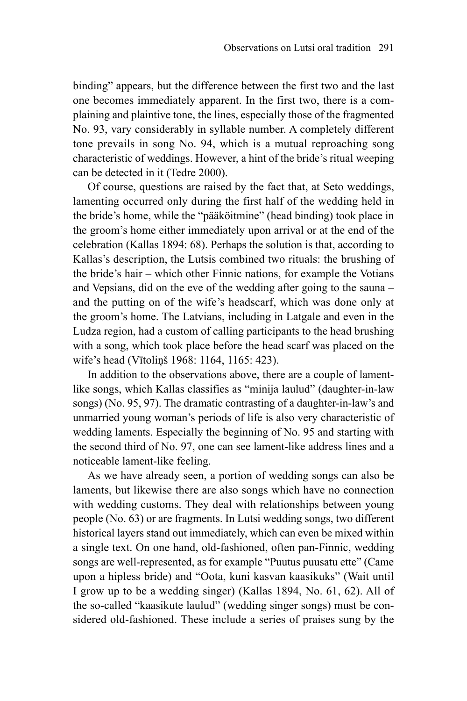binding" appears, but the difference between the first two and the last one becomes immediately apparent. In the first two, there is a complaining and plaintive tone, the lines, especially those of the fragmented No. 93, vary considerably in syllable number. A completely different tone prevails in song No. 94, which is a mutual reproaching song characteristic of weddings. However, a hint of the bride's ritual weeping can be detected in it (Tedre 2000).

Of course, questions are raised by the fact that, at Seto weddings, lamenting occurred only during the first half of the wedding held in the bride's home, while the "pääköitmine" (head binding) took place in the groom's home either immediately upon arrival or at the end of the celebration (Kallas 1894: 68). Perhaps the solution is that, according to Kallas's description, the Lutsis combined two rituals: the brushing of the bride's hair – which other Finnic nations, for example the Votians and Vepsians, did on the eve of the wedding after going to the sauna – and the putting on of the wife's headscarf, which was done only at the groom's home. The Latvians, including in Latgale and even in the Ludza region, had a custom of calling participants to the head brushing with a song, which took place before the head scarf was placed on the wife's head (Vītoliņš 1968: 1164, 1165: 423).

In addition to the observations above, there are a couple of lamentlike songs, which Kallas classifies as "minija laulud" (daughter-in-law songs) (No. 95, 97). The dramatic contrasting of a daughter-in-law's and unmarried young woman's periods of life is also very characteristic of wedding laments. Especially the beginning of No. 95 and starting with the second third of No. 97, one can see lament-like address lines and a noticeable lament-like feeling.

As we have already seen, a portion of wedding songs can also be laments, but likewise there are also songs which have no connection with wedding customs. They deal with relationships between young people (No. 63) or are fragments. In Lutsi wedding songs, two different historical layers stand out immediately, which can even be mixed within a single text. On one hand, old-fashioned, often pan-Finnic, wedding songs are well-represented, as for example "Puutus puusatu ette" (Came upon a hipless bride) and "Oota, kuni kasvan kaasikuks" (Wait until I grow up to be a wedding singer) (Kallas 1894, No. 61, 62). All of the so-called "kaasikute laulud" (wedding singer songs) must be considered old-fashioned. These include a series of praises sung by the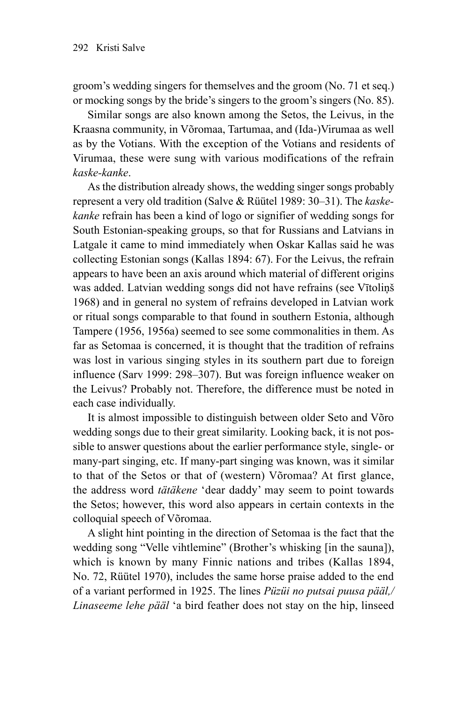groom's wedding singers for themselves and the groom (No. 71 et seq.) or mocking songs by the bride's singers to the groom's singers (No. 85).

Similar songs are also known among the Setos, the Leivus, in the Kraasna community, in Võromaa, Tartumaa, and (Ida-)Virumaa as well as by the Votians. With the exception of the Votians and residents of Virumaa, these were sung with various modifications of the refrain *kaske-kanke*.

As the distribution already shows, the wedding singer songs probably represent a very old tradition (Salve & Rüütel 1989: 30–31). The *kaskekanke* refrain has been a kind of logo or signifier of wedding songs for South Estonian-speaking groups, so that for Russians and Latvians in Latgale it came to mind immediately when Oskar Kallas said he was collecting Estonian songs (Kallas 1894: 67). For the Leivus, the refrain appears to have been an axis around which material of different origins was added. Latvian wedding songs did not have refrains (see Vītoliņš 1968) and in general no system of refrains developed in Latvian work or ritual songs comparable to that found in southern Estonia, although Tampere (1956, 1956a) seemed to see some commonalities in them. As far as Setomaa is concerned, it is thought that the tradition of refrains was lost in various singing styles in its southern part due to foreign influence (Sarv 1999: 298–307). But was foreign influence weaker on the Leivus? Probably not. Therefore, the difference must be noted in each case individually.

It is almost impossible to distinguish between older Seto and Võro wedding songs due to their great similarity. Looking back, it is not possible to answer questions about the earlier performance style, single- or many-part singing, etc. If many-part singing was known, was it similar to that of the Setos or that of (western) Võromaa? At first glance, the address word *tätäkene* 'dear daddy' may seem to point towards the Setos; however, this word also appears in certain contexts in the colloquial speech of Võromaa.

A slight hint pointing in the direction of Setomaa is the fact that the wedding song "Velle vihtlemine" (Brother's whisking [in the sauna]), which is known by many Finnic nations and tribes (Kallas 1894, No. 72, Rüütel 1970), includes the same horse praise added to the end of a variant performed in 1925. The lines *Püzüi no putsai puusa pääl,/ Linaseeme lehe pääl* 'a bird feather does not stay on the hip, linseed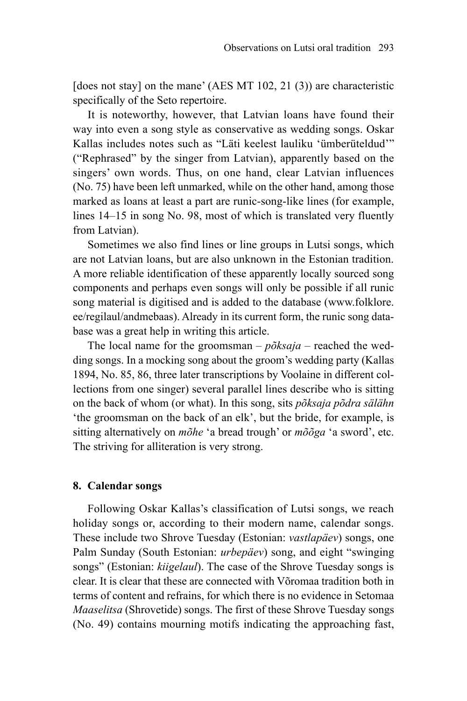[does not stay] on the mane' (AES MT  $102$ ,  $21$  (3)) are characteristic specifically of the Seto repertoire.

It is noteworthy, however, that Latvian loans have found their way into even a song style as conservative as wedding songs. Oskar Kallas includes notes such as "Läti keelest lauliku 'ümberüteldud'" ("Rephrased" by the singer from Latvian), apparently based on the singers' own words. Thus, on one hand, clear Latvian influences (No. 75) have been left unmarked, while on the other hand, among those marked as loans at least a part are runic-song-like lines (for example, lines 14–15 in song No. 98, most of which is translated very fluently from Latvian).

Sometimes we also find lines or line groups in Lutsi songs, which are not Latvian loans, but are also unknown in the Estonian tradition. A more reliable identification of these apparently locally sourced song components and perhaps even songs will only be possible if all runic song material is digitised and is added to the database ([www.folklore.](http://www.folklore.ee/regilaul/andmebaas) [ee/regilaul/andmebaas](http://www.folklore.ee/regilaul/andmebaas)). Already in its current form, the runic song database was a great help in writing this article.

The local name for the groomsman – *põksaja* – reached the wedding songs. In a mocking song about the groom's wedding party (Kallas 1894, No. 85, 86, three later transcriptions by Voolaine in different collections from one singer) several parallel lines describe who is sitting on the back of whom (or what). In this song, sits *põksaja põdra sälähn*  'the groomsman on the back of an elk', but the bride, for example, is sitting alternatively on *mõhe* 'a bread trough' or *mõõga* 'a sword', etc. The striving for alliteration is very strong.

#### **8. Calendar songs**

Following Oskar Kallas's classification of Lutsi songs, we reach holiday songs or, according to their modern name, calendar songs. These include two Shrove Tuesday (Estonian: *vastlapäev*) songs, one Palm Sunday (South Estonian: *urbepäev*) song, and eight "swinging songs" (Estonian: *kiigelaul*). The case of the Shrove Tuesday songs is clear. It is clear that these are connected with Võromaa tradition both in terms of content and refrains, for which there is no evidence in Setomaa *Maaselitsa* (Shrovetide) songs. The first of these Shrove Tuesday songs (No. 49) contains mourning motifs indicating the approaching fast,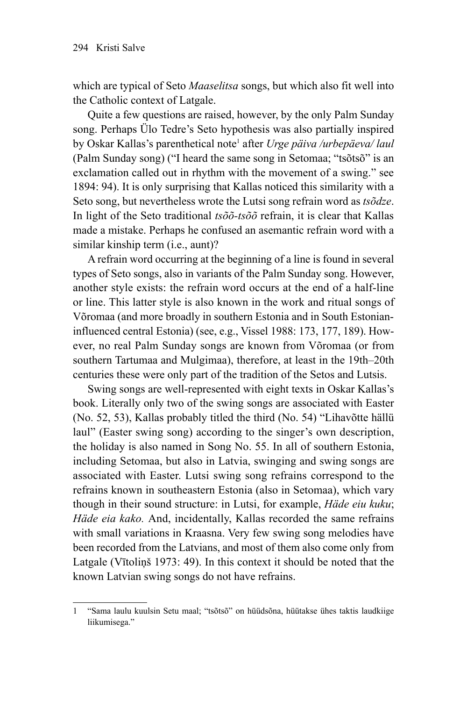which are typical of Seto *Maaselitsa* songs, but which also fit well into the Catholic context of Latgale.

Quite a few questions are raised, however, by the only Palm Sunday song. Perhaps Ülo Tedre's Seto hypothesis was also partially inspired by Oskar Kallas's parenthetical note<sup>1</sup> after *Urge päiva /urbepäeva/ laul* (Palm Sunday song) ("I heard the same song in Setomaa; "tsõtsõ" is an exclamation called out in rhythm with the movement of a swing." see 1894: 94). It is only surprising that Kallas noticed this similarity with a Seto song, but nevertheless wrote the Lutsi song refrain word as *tsõdze*. In light of the Seto traditional *tsõõ-tsõõ* refrain, it is clear that Kallas made a mistake. Perhaps he confused an asemantic refrain word with a similar kinship term (i.e., aunt)?

A refrain word occurring at the beginning of a line is found in several types of Seto songs, also in variants of the Palm Sunday song. However, another style exists: the refrain word occurs at the end of a half-line or line. This latter style is also known in the work and ritual songs of Võromaa (and more broadly in southern Estonia and in South Estonianinfluenced central Estonia) (see, e.g., Vissel 1988: 173, 177, 189). However, no real Palm Sunday songs are known from Võromaa (or from southern Tartumaa and Mulgimaa), therefore, at least in the 19th–20th centuries these were only part of the tradition of the Setos and Lutsis.

Swing songs are well-represented with eight texts in Oskar Kallas's book. Literally only two of the swing songs are associated with Easter (No. 52, 53), Kallas probably titled the third (No. 54) "Lihavõtte hällü laul" (Easter swing song) according to the singer's own description, the holiday is also named in Song No. 55. In all of southern Estonia, including Setomaa, but also in Latvia, swinging and swing songs are associated with Easter. Lutsi swing song refrains correspond to the refrains known in southeastern Estonia (also in Setomaa), which vary though in their sound structure: in Lutsi, for example, *Häde eiu kuku*; *Häde eia kako.* And, incidentally, Kallas recorded the same refrains with small variations in Kraasna. Very few swing song melodies have been recorded from the Latvians, and most of them also come only from Latgale (Vītoliņš 1973: 49). In this context it should be noted that the known Latvian swing songs do not have refrains.

<sup>1</sup> "Sama laulu kuulsin Setu maal; "tsõtsõ" on hüüdsõna, hüütakse ühes taktis laudkiige liikumisega."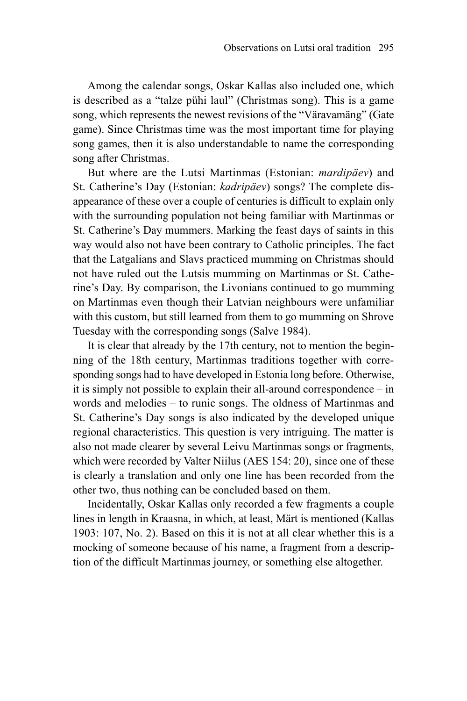Among the calendar songs, Oskar Kallas also included one, which is described as a "talze pühi laul" (Christmas song). This is a game song, which represents the newest revisions of the "Väravamäng" (Gate game). Since Christmas time was the most important time for playing song games, then it is also understandable to name the corresponding song after Christmas.

But where are the Lutsi Martinmas (Estonian: *mardipäev*) and St. Catherine's Day (Estonian: *kadripäev*) songs? The complete disappearance of these over a couple of centuries is difficult to explain only with the surrounding population not being familiar with Martinmas or St. Catherine's Day mummers. Marking the feast days of saints in this way would also not have been contrary to Catholic principles. The fact that the Latgalians and Slavs practiced mumming on Christmas should not have ruled out the Lutsis mumming on Martinmas or St. Catherine's Day. By comparison, the Livonians continued to go mumming on Martinmas even though their Latvian neighbours were unfamiliar with this custom, but still learned from them to go mumming on Shrove Tuesday with the corresponding songs (Salve 1984).

It is clear that already by the 17th century, not to mention the beginning of the 18th century, Martinmas traditions together with corresponding songs had to have developed in Estonia long before. Otherwise, it is simply not possible to explain their all-around correspondence – in words and melodies – to runic songs. The oldness of Martinmas and St. Catherine's Day songs is also indicated by the developed unique regional characteristics. This question is very intriguing. The matter is also not made clearer by several Leivu Martinmas songs or fragments, which were recorded by Valter Niilus (AES 154: 20), since one of these is clearly a translation and only one line has been recorded from the other two, thus nothing can be concluded based on them.

Incidentally, Oskar Kallas only recorded a few fragments a couple lines in length in Kraasna, in which, at least, Märt is mentioned (Kallas 1903: 107, No. 2). Based on this it is not at all clear whether this is a mocking of someone because of his name, a fragment from a description of the difficult Martinmas journey, or something else altogether.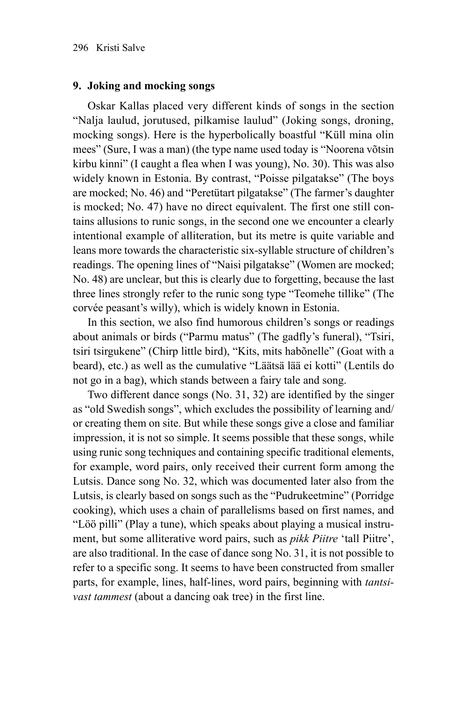### **9. Joking and mocking songs**

Oskar Kallas placed very different kinds of songs in the section "Nalja laulud, jorutused, pilkamise laulud" (Joking songs, droning, mocking songs). Here is the hyperbolically boastful "Küll mina olin mees" (Sure, I was a man) (the type name used today is "Noorena võtsin kirbu kinni" (I caught a flea when I was young), No. 30). This was also widely known in Estonia. By contrast, "Poisse pilgatakse" (The boys are mocked; No. 46) and "Peretütart pilgatakse" (The farmer's daughter is mocked; No. 47) have no direct equivalent. The first one still contains allusions to runic songs, in the second one we encounter a clearly intentional example of alliteration, but its metre is quite variable and leans more towards the characteristic six-syllable structure of children's readings. The opening lines of "Naisi pilgatakse" (Women are mocked; No. 48) are unclear, but this is clearly due to forgetting, because the last three lines strongly refer to the runic song type "Teomehe tillike" (The corvée peasant's willy), which is widely known in Estonia.

In this section, we also find humorous children's songs or readings about animals or birds ("Parmu matus" (The gadfly's funeral), "Tsiri, tsiri tsirgukene" (Chirp little bird), "Kits, mits habõnelle" (Goat with a beard), etc.) as well as the cumulative "Läätsä lää ei kotti" (Lentils do not go in a bag), which stands between a fairy tale and song.

Two different dance songs (No. 31, 32) are identified by the singer as "old Swedish songs", which excludes the possibility of learning and/ or creating them on site. But while these songs give a close and familiar impression, it is not so simple. It seems possible that these songs, while using runic song techniques and containing specific traditional elements, for example, word pairs, only received their current form among the Lutsis. Dance song No. 32, which was documented later also from the Lutsis, is clearly based on songs such as the "Pudrukeetmine" (Porridge cooking), which uses a chain of parallelisms based on first names, and "Löö pilli" (Play a tune), which speaks about playing a musical instrument, but some alliterative word pairs, such as *pikk Piitre* 'tall Piitre', are also traditional. In the case of dance song No. 31, it is not possible to refer to a specific song. It seems to have been constructed from smaller parts, for example, lines, half-lines, word pairs, beginning with *tantsivast tammest* (about a dancing oak tree) in the first line.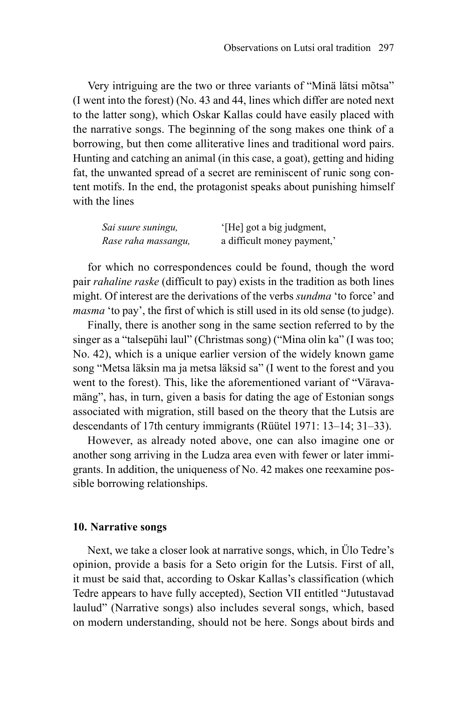Very intriguing are the two or three variants of "Minä lätsi mõtsa" (I went into the forest) (No. 43 and 44, lines which differ are noted next to the latter song), which Oskar Kallas could have easily placed with the narrative songs. The beginning of the song makes one think of a borrowing, but then come alliterative lines and traditional word pairs. Hunting and catching an animal (in this case, a goat), getting and hiding fat, the unwanted spread of a secret are reminiscent of runic song content motifs. In the end, the protagonist speaks about punishing himself with the lines

| Sai suure suningu,  | '[He] got a big judgment,   |
|---------------------|-----------------------------|
| Rase raha massangu, | a difficult money payment,' |

for which no correspondences could be found, though the word pair *rahaline raske* (difficult to pay) exists in the tradition as both lines might. Of interest are the derivations of the verbs *sundma* 'to force' and *masma* 'to pay', the first of which is still used in its old sense (to judge).

Finally, there is another song in the same section referred to by the singer as a "talsepühi laul" (Christmas song) ("Mina olin ka" (I was too; No. 42), which is a unique earlier version of the widely known game song "Metsa läksin ma ja metsa läksid sa" (I went to the forest and you went to the forest). This, like the aforementioned variant of "Väravamäng", has, in turn, given a basis for dating the age of Estonian songs associated with migration, still based on the theory that the Lutsis are descendants of 17th century immigrants (Rüütel 1971: 13–14; 31–33).

However, as already noted above, one can also imagine one or another song arriving in the Ludza area even with fewer or later immigrants. In addition, the uniqueness of No. 42 makes one reexamine possible borrowing relationships.

#### **10. Narrative songs**

Next, we take a closer look at narrative songs, which, in Ülo Tedre's opinion, provide a basis for a Seto origin for the Lutsis. First of all, it must be said that, according to Oskar Kallas's classification (which Tedre appears to have fully accepted), Section VII entitled "Jutustavad laulud" (Narrative songs) also includes several songs, which, based on modern understanding, should not be here. Songs about birds and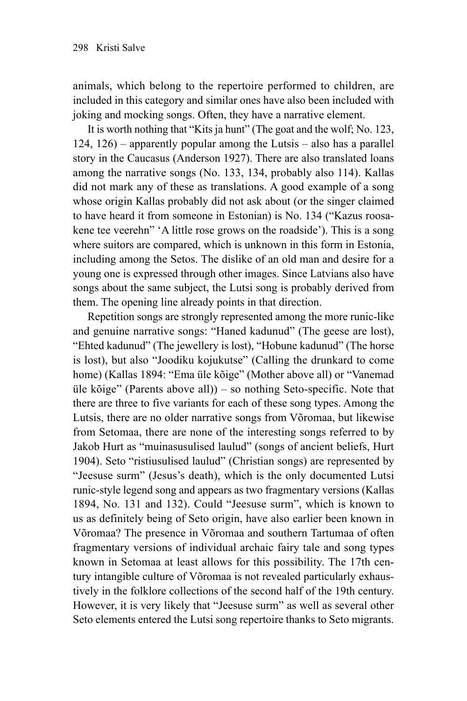animals, which belong to the repertoire performed to children, are included in this category and similar ones have also been included with joking and mocking songs. Often, they have a narrative element.

It is worth nothing that "Kits ja hunt" (The goat and the wolf; No. 123, 124, 126) – apparently popular among the Lutsis – also has a parallel story in the Caucasus (Anderson 1927). There are also translated loans among the narrative songs (No. 133, 134, probably also 114). Kallas did not mark any of these as translations. A good example of a song whose origin Kallas probably did not ask about (or the singer claimed to have heard it from someone in Estonian) is No. 134 ("Kazus roosakene tee veerehn" 'A little rose grows on the roadside'). This is a song where suitors are compared, which is unknown in this form in Estonia, including among the Setos. The dislike of an old man and desire for a young one is expressed through other images. Since Latvians also have songs about the same subject, the Lutsi song is probably derived from them. The opening line already points in that direction.

Repetition songs are strongly represented among the more runic-like and genuine narrative songs: "Haned kadunud" (The geese are lost), "Ehted kadunud" (The jewellery is lost), "Hobune kadunud" (The horse is lost), but also "Joodiku kojukutse" (Calling the drunkard to come home) (Kallas 1894: "Ema üle kõige" (Mother above all) or "Vanemad üle kõige" (Parents above all)) – so nothing Seto-specific. Note that there are three to five variants for each of these song types. Among the Lutsis, there are no older narrative songs from Võromaa, but likewise from Setomaa, there are none of the interesting songs referred to by Jakob Hurt as "muinasusulised laulud" (songs of ancient beliefs, Hurt 1904). Seto "ristiusulised laulud" (Christian songs) are represented by "Jeesuse surm" (Jesus's death), which is the only documented Lutsi runic-style legend song and appears as two fragmentary versions (Kallas 1894, No. 131 and 132). Could "Jeesuse surm", which is known to us as definitely being of Seto origin, have also earlier been known in Võromaa? The presence in Võromaa and southern Tartumaa of often fragmentary versions of individual archaic fairy tale and song types known in Setomaa at least allows for this possibility. The 17th century intangible culture of Võromaa is not revealed particularly exhaustively in the folklore collections of the second half of the 19th century. However, it is very likely that "Jeesuse surm" as well as several other Seto elements entered the Lutsi song repertoire thanks to Seto migrants.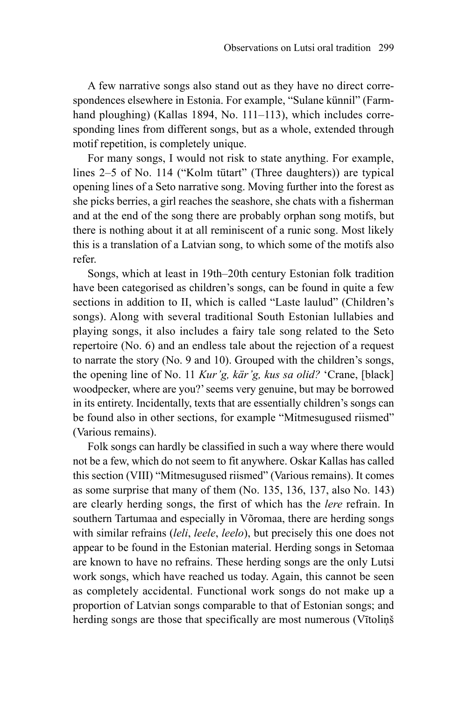A few narrative songs also stand out as they have no direct correspondences elsewhere in Estonia. For example, "Sulane künnil" (Farmhand ploughing) (Kallas 1894, No. 111–113), which includes corresponding lines from different songs, but as a whole, extended through motif repetition, is completely unique.

For many songs, I would not risk to state anything. For example, lines 2–5 of No. 114 ("Kolm tütart" (Three daughters)) are typical opening lines of a Seto narrative song. Moving further into the forest as she picks berries, a girl reaches the seashore, she chats with a fisherman and at the end of the song there are probably orphan song motifs, but there is nothing about it at all reminiscent of a runic song. Most likely this is a translation of a Latvian song, to which some of the motifs also refer.

Songs, which at least in 19th–20th century Estonian folk tradition have been categorised as children's songs, can be found in quite a few sections in addition to II, which is called "Laste laulud" (Children's songs). Along with several traditional South Estonian lullabies and playing songs, it also includes a fairy tale song related to the Seto repertoire (No. 6) and an endless tale about the rejection of a request to narrate the story (No. 9 and 10). Grouped with the children's songs, the opening line of No. 11 *Kur'g, kär'g, kus sa olid?* 'Crane, [black] woodpecker, where are you?' seems very genuine, but may be borrowed in its entirety. Incidentally, texts that are essentially children's songs can be found also in other sections, for example "Mitmesugused riismed" (Various remains).

Folk songs can hardly be classified in such a way where there would not be a few, which do not seem to fit anywhere. Oskar Kallas has called this section (VIII) "Mitmesugused riismed" (Various remains). It comes as some surprise that many of them (No. 135, 136, 137, also No. 143) are clearly herding songs, the first of which has the *lere* refrain. In southern Tartumaa and especially in Võromaa, there are herding songs with similar refrains (*leli*, *leele*, *leelo*), but precisely this one does not appear to be found in the Estonian material. Herding songs in Setomaa are known to have no refrains. These herding songs are the only Lutsi work songs, which have reached us today. Again, this cannot be seen as completely accidental. Functional work songs do not make up a proportion of Latvian songs comparable to that of Estonian songs; and herding songs are those that specifically are most numerous (Vītoliņš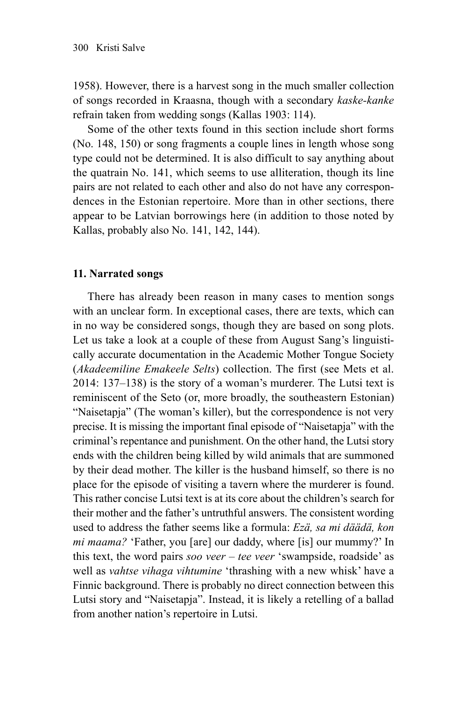1958). However, there is a harvest song in the much smaller collection of songs recorded in Kraasna, though with a secondary *kaske-kanke* refrain taken from wedding songs (Kallas 1903: 114).

Some of the other texts found in this section include short forms (No. 148, 150) or song fragments a couple lines in length whose song type could not be determined. It is also difficult to say anything about the quatrain No. 141, which seems to use alliteration, though its line pairs are not related to each other and also do not have any correspondences in the Estonian repertoire. More than in other sections, there appear to be Latvian borrowings here (in addition to those noted by Kallas, probably also No. 141, 142, 144).

## **11. Narrated songs**

There has already been reason in many cases to mention songs with an unclear form. In exceptional cases, there are texts, which can in no way be considered songs, though they are based on song plots. Let us take a look at a couple of these from August Sang's linguistically accurate documentation in the Academic Mother Tongue Society (*Akadeemiline Emakeele Selts*) collection. The first (see Mets et al. 2014: 137–138) is the story of a woman's murderer. The Lutsi text is reminiscent of the Seto (or, more broadly, the southeastern Estonian) "Naisetapja" (The woman's killer), but the correspondence is not very precise. It is missing the important final episode of "Naisetapja" with the criminal's repentance and punishment. On the other hand, the Lutsi story ends with the children being killed by wild animals that are summoned by their dead mother. The killer is the husband himself, so there is no place for the episode of visiting a tavern where the murderer is found. This rather concise Lutsi text is at its core about the children's search for their mother and the father's untruthful answers. The consistent wording used to address the father seems like a formula: *Ezä, sa mi däädä, kon mi maama?* 'Father, you [are] our daddy, where [is] our mummy?' In this text, the word pairs *soo veer – tee veer* 'swampside, roadside' as well as *vahtse vihaga vihtumine* 'thrashing with a new whisk' have a Finnic background. There is probably no direct connection between this Lutsi story and "Naisetapja". Instead, it is likely a retelling of a ballad from another nation's repertoire in Lutsi.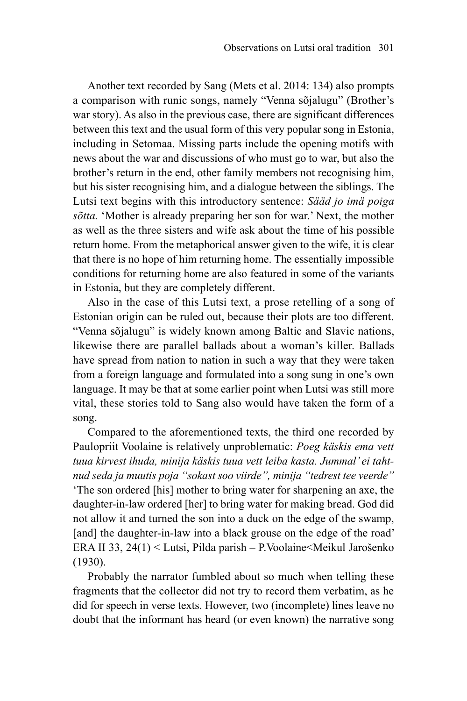Another text recorded by Sang (Mets et al. 2014: 134) also prompts a comparison with runic songs, namely "Venna sõjalugu" (Brother's war story). As also in the previous case, there are significant differences between this text and the usual form of this very popular song in Estonia, including in Setomaa. Missing parts include the opening motifs with news about the war and discussions of who must go to war, but also the brother's return in the end, other family members not recognising him, but his sister recognising him, and a dialogue between the siblings. The Lutsi text begins with this introductory sentence: *Sääd jo imä poiga sõtta.* 'Mother is already preparing her son for war.' Next, the mother as well as the three sisters and wife ask about the time of his possible return home. From the metaphorical answer given to the wife, it is clear that there is no hope of him returning home. The essentially impossible conditions for returning home are also featured in some of the variants in Estonia, but they are completely different.

Also in the case of this Lutsi text, a prose retelling of a song of Estonian origin can be ruled out, because their plots are too different. "Venna sõjalugu" is widely known among Baltic and Slavic nations, likewise there are parallel ballads about a woman's killer. Ballads have spread from nation to nation in such a way that they were taken from a foreign language and formulated into a song sung in one's own language. It may be that at some earlier point when Lutsi was still more vital, these stories told to Sang also would have taken the form of a song.

Compared to the aforementioned texts, the third one recorded by Paulopriit Voolaine is relatively unproblematic: *Poeg käskis ema vett tuua kirvest ihuda, minija käskis tuua vett leiba kasta. Jummal' ei tahtnud seda ja muutis poja "sokast soo viirde", minija "tedrest tee veerde"*  'The son ordered [his] mother to bring water for sharpening an axe, the daughter-in-law ordered [her] to bring water for making bread. God did not allow it and turned the son into a duck on the edge of the swamp, [and] the daughter-in-law into a black grouse on the edge of the road' ERA II 33, 24(1) < Lutsi, Pilda parish – P.Voolaine<Meikul Jarošenko (1930).

Probably the narrator fumbled about so much when telling these fragments that the collector did not try to record them verbatim, as he did for speech in verse texts. However, two (incomplete) lines leave no doubt that the informant has heard (or even known) the narrative song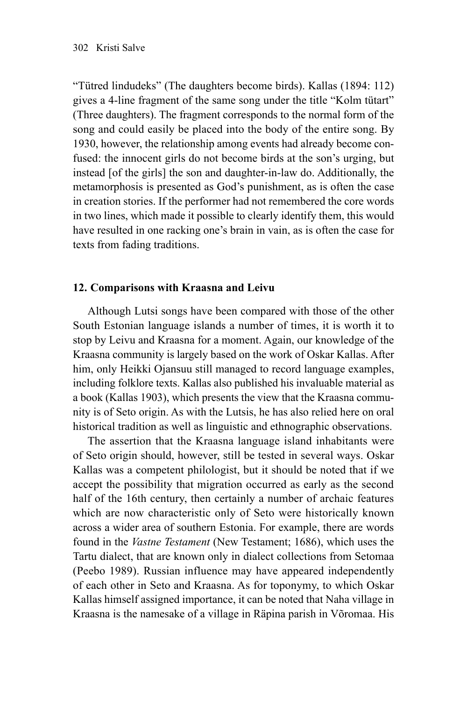"Tütred lindudeks" (The daughters become birds). Kallas (1894: 112) gives a 4-line fragment of the same song under the title "Kolm tütart" (Three daughters). The fragment corresponds to the normal form of the song and could easily be placed into the body of the entire song. By 1930, however, the relationship among events had already become confused: the innocent girls do not become birds at the son's urging, but instead [of the girls] the son and daughter-in-law do. Additionally, the metamorphosis is presented as God's punishment, as is often the case in creation stories. If the performer had not remembered the core words in two lines, which made it possible to clearly identify them, this would have resulted in one racking one's brain in vain, as is often the case for texts from fading traditions.

# **12. Comparisons with Kraasna and Leivu**

Although Lutsi songs have been compared with those of the other South Estonian language islands a number of times, it is worth it to stop by Leivu and Kraasna for a moment. Again, our knowledge of the Kraasna community is largely based on the work of Oskar Kallas. After him, only Heikki Ojansuu still managed to record language examples, including folklore texts. Kallas also published his invaluable material as a book (Kallas 1903), which presents the view that the Kraasna community is of Seto origin. As with the Lutsis, he has also relied here on oral historical tradition as well as linguistic and ethnographic observations.

The assertion that the Kraasna language island inhabitants were of Seto origin should, however, still be tested in several ways. Oskar Kallas was a competent philologist, but it should be noted that if we accept the possibility that migration occurred as early as the second half of the 16th century, then certainly a number of archaic features which are now characteristic only of Seto were historically known across a wider area of southern Estonia. For example, there are words found in the *Vastne Testament* (New Testament; 1686), which uses the Tartu dialect, that are known only in dialect collections from Setomaa (Peebo 1989). Russian influence may have appeared independently of each other in Seto and Kraasna. As for toponymy, to which Oskar Kallas himself assigned importance, it can be noted that Naha village in Kraasna is the namesake of a village in Räpina parish in Võromaa. His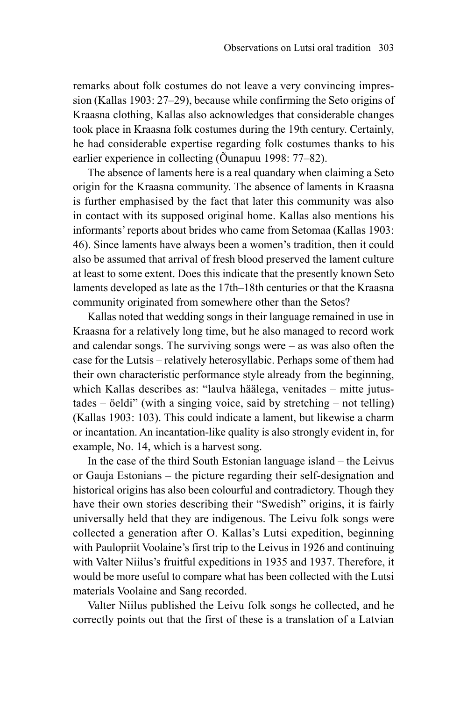remarks about folk costumes do not leave a very convincing impression (Kallas 1903: 27–29), because while confirming the Seto origins of Kraasna clothing, Kallas also acknowledges that considerable changes took place in Kraasna folk costumes during the 19th century. Certainly, he had considerable expertise regarding folk costumes thanks to his earlier experience in collecting (Õunapuu 1998: 77–82).

The absence of laments here is a real quandary when claiming a Seto origin for the Kraasna community. The absence of laments in Kraasna is further emphasised by the fact that later this community was also in contact with its supposed original home. Kallas also mentions his informants' reports about brides who came from Setomaa (Kallas 1903: 46). Since laments have always been a women's tradition, then it could also be assumed that arrival of fresh blood preserved the lament culture at least to some extent. Does this indicate that the presently known Seto laments developed as late as the 17th–18th centuries or that the Kraasna community originated from somewhere other than the Setos?

Kallas noted that wedding songs in their language remained in use in Kraasna for a relatively long time, but he also managed to record work and calendar songs. The surviving songs were – as was also often the case for the Lutsis – relatively heterosyllabic. Perhaps some of them had their own characteristic performance style already from the beginning, which Kallas describes as: "laulva häälega, venitades – mitte jutustades – öeldi" (with a singing voice, said by stretching – not telling) (Kallas 1903: 103). This could indicate a lament, but likewise a charm or incantation. An incantation-like quality is also strongly evident in, for example, No. 14, which is a harvest song.

In the case of the third South Estonian language island – the Leivus or Gauja Estonians – the picture regarding their self-designation and historical origins has also been colourful and contradictory. Though they have their own stories describing their "Swedish" origins, it is fairly universally held that they are indigenous. The Leivu folk songs were collected a generation after O. Kallas's Lutsi expedition, beginning with Paulopriit Voolaine's first trip to the Leivus in 1926 and continuing with Valter Niilus's fruitful expeditions in 1935 and 1937. Therefore, it would be more useful to compare what has been collected with the Lutsi materials Voolaine and Sang recorded.

Valter Niilus published the Leivu folk songs he collected, and he correctly points out that the first of these is a translation of a Latvian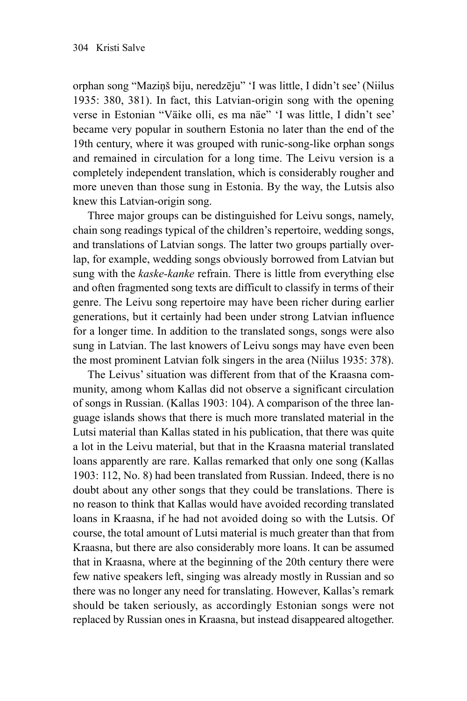orphan song "Maziņš biju, neredzēju" 'I was little, I didn't see' (Niilus 1935: 380, 381). In fact, this Latvian-origin song with the opening verse in Estonian "Väike olli, es ma näe" 'I was little, I didn't see' became very popular in southern Estonia no later than the end of the 19th century, where it was grouped with runic-song-like orphan songs and remained in circulation for a long time. The Leivu version is a completely independent translation, which is considerably rougher and more uneven than those sung in Estonia. By the way, the Lutsis also knew this Latvian-origin song.

Three major groups can be distinguished for Leivu songs, namely, chain song readings typical of the children's repertoire, wedding songs, and translations of Latvian songs. The latter two groups partially overlap, for example, wedding songs obviously borrowed from Latvian but sung with the *kaske-kanke* refrain. There is little from everything else and often fragmented song texts are difficult to classify in terms of their genre. The Leivu song repertoire may have been richer during earlier generations, but it certainly had been under strong Latvian influence for a longer time. In addition to the translated songs, songs were also sung in Latvian. The last knowers of Leivu songs may have even been the most prominent Latvian folk singers in the area (Niilus 1935: 378).

The Leivus' situation was different from that of the Kraasna community, among whom Kallas did not observe a significant circulation of songs in Russian. (Kallas 1903: 104). A comparison of the three language islands shows that there is much more translated material in the Lutsi material than Kallas stated in his publication, that there was quite a lot in the Leivu material, but that in the Kraasna material translated loans apparently are rare. Kallas remarked that only one song (Kallas 1903: 112, No. 8) had been translated from Russian. Indeed, there is no doubt about any other songs that they could be translations. There is no reason to think that Kallas would have avoided recording translated loans in Kraasna, if he had not avoided doing so with the Lutsis. Of course, the total amount of Lutsi material is much greater than that from Kraasna, but there are also considerably more loans. It can be assumed that in Kraasna, where at the beginning of the 20th century there were few native speakers left, singing was already mostly in Russian and so there was no longer any need for translating. However, Kallas's remark should be taken seriously, as accordingly Estonian songs were not replaced by Russian ones in Kraasna, but instead disappeared altogether.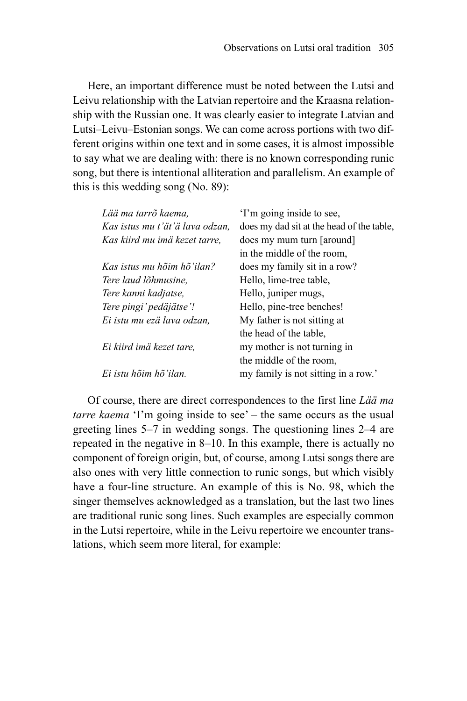Here, an important difference must be noted between the Lutsi and Leivu relationship with the Latvian repertoire and the Kraasna relationship with the Russian one. It was clearly easier to integrate Latvian and Lutsi–Leivu–Estonian songs. We can come across portions with two different origins within one text and in some cases, it is almost impossible to say what we are dealing with: there is no known corresponding runic song, but there is intentional alliteration and parallelism. An example of this is this wedding song (No. 89):

| Lää ma tarrõ kaema.             | 'I'm going inside to see,                 |
|---------------------------------|-------------------------------------------|
| Kas istus mu t'ät'ä lava odzan. | does my dad sit at the head of the table, |
| Kas kiird mu imä kezet tarre.   | does my mum turn [around]                 |
|                                 | in the middle of the room.                |
| Kas istus mu hõim hõ'ilan?      | does my family sit in a row?              |
| Tere laud lõhmusine.            | Hello, lime-tree table,                   |
| Tere kanni kadjatse,            | Hello, juniper mugs,                      |
| Tere pingi' pedäjätse'!         | Hello, pine-tree benches!                 |
| Ei istu mu ezä lava odzan,      | My father is not sitting at               |
|                                 | the head of the table,                    |
| Ei kiird imä kezet tare.        | my mother is not turning in               |
|                                 | the middle of the room.                   |
| Ei istu hõim hõ'ilan.           | my family is not sitting in a row.'       |
|                                 |                                           |

Of course, there are direct correspondences to the first line *Lää ma tarre kaema* 'I'm going inside to see' – the same occurs as the usual greeting lines 5–7 in wedding songs. The questioning lines 2–4 are repeated in the negative in 8–10. In this example, there is actually no component of foreign origin, but, of course, among Lutsi songs there are also ones with very little connection to runic songs, but which visibly have a four-line structure. An example of this is No. 98, which the singer themselves acknowledged as a translation, but the last two lines are traditional runic song lines. Such examples are especially common in the Lutsi repertoire, while in the Leivu repertoire we encounter translations, which seem more literal, for example: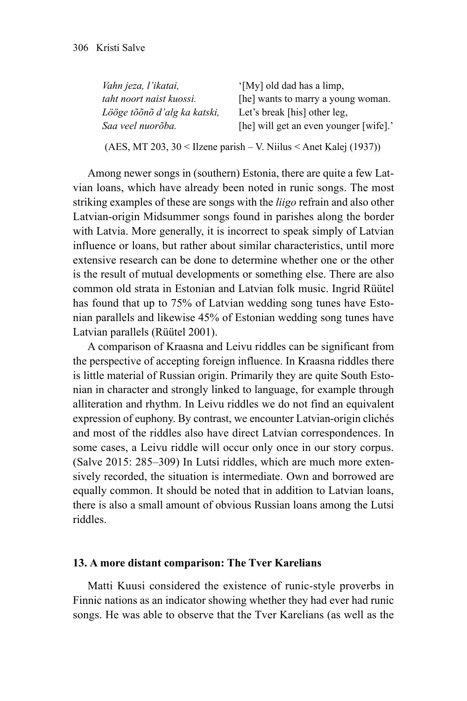| Vahn jeza, l'ikatai,         | '[My] old dad has a limp,              |
|------------------------------|----------------------------------------|
| taht noort naist kuossi.     | [he] wants to marry a young woman.     |
| Lööge tõõnõ d'alg ka katski, | Let's break [his] other leg,           |
| Saa veel nuorõba.            | [he] will get an even younger [wife].' |

(AES, MT 203, 30 < Ilzene parish – V. Niilus < Anet Kalej (1937))

Among newer songs in (southern) Estonia, there are quite a few Latvian loans, which have already been noted in runic songs. The most striking examples of these are songs with the *liigo* refrain and also other Latvian-origin Midsummer songs found in parishes along the border with Latvia. More generally, it is incorrect to speak simply of Latvian influence or loans, but rather about similar characteristics, until more extensive research can be done to determine whether one or the other is the result of mutual developments or something else. There are also common old strata in Estonian and Latvian folk music. Ingrid Rüütel has found that up to 75% of Latvian wedding song tunes have Estonian parallels and likewise 45% of Estonian wedding song tunes have Latvian parallels (Rüütel 2001).

A comparison of Kraasna and Leivu riddles can be significant from the perspective of accepting foreign influence. In Kraasna riddles there is little material of Russian origin. Primarily they are quite South Estonian in character and strongly linked to language, for example through alliteration and rhythm. In Leivu riddles we do not find an equivalent expression of euphony. By contrast, we encounter Latvian-origin clichés and most of the riddles also have direct Latvian correspondences. In some cases, a Leivu riddle will occur only once in our story corpus. (Salve 2015: 285–309) In Lutsi riddles, which are much more extensively recorded, the situation is intermediate. Own and borrowed are equally common. It should be noted that in addition to Latvian loans, there is also a small amount of obvious Russian loans among the Lutsi riddles.

#### **13. A more distant comparison: The Tver Karelians**

Matti Kuusi considered the existence of runic-style proverbs in Finnic nations as an indicator showing whether they had ever had runic songs. He was able to observe that the Tver Karelians (as well as the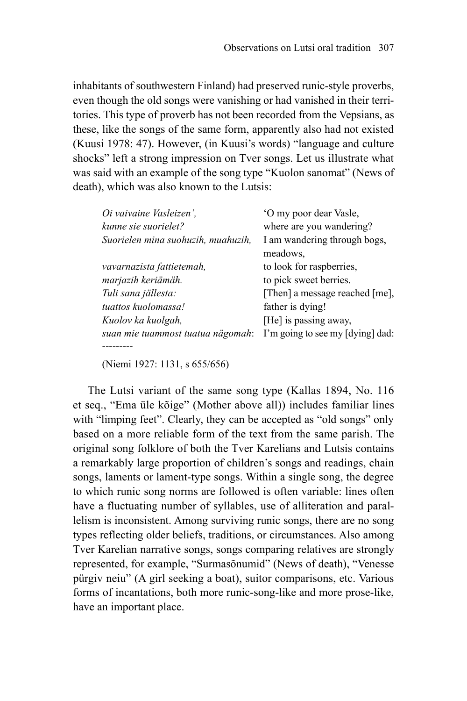inhabitants of southwestern Finland) had preserved runic-style proverbs, even though the old songs were vanishing or had vanished in their territories. This type of proverb has not been recorded from the Vepsians, as these, like the songs of the same form, apparently also had not existed (Kuusi 1978: 47). However, (in Kuusi's words) "language and culture shocks" left a strong impression on Tver songs. Let us illustrate what was said with an example of the song type "Kuolon sanomat" (News of death), which was also known to the Lutsis:

| Oi vaivaine Vasleizen',            | 'O my poor dear Vasle,           |
|------------------------------------|----------------------------------|
| kunne sie suorielet?               | where are you wandering?         |
| Suorielen mina suohuzih, muahuzih, | I am wandering through bogs,     |
|                                    | meadows,                         |
| vavarnazista fattietemah,          | to look for raspberries,         |
| marjazih keriämäh.                 | to pick sweet berries.           |
| Tuli sana jällesta:                | [Then] a message reached [me],   |
| tuattos kuolomassa!                | father is dying!                 |
| Kuolov ka kuolgah,                 | [He] is passing away,            |
| suan mie tuammost tuatua nägomah:  | I'm going to see my [dying] dad: |
|                                    |                                  |

(Niemi 1927: 1131, s 655/656)

The Lutsi variant of the same song type (Kallas 1894, No. 116 et seq., "Ema üle kõige" (Mother above all)) includes familiar lines with "limping feet". Clearly, they can be accepted as "old songs" only based on a more reliable form of the text from the same parish. The original song folklore of both the Tver Karelians and Lutsis contains a remarkably large proportion of children's songs and readings, chain songs, laments or lament-type songs. Within a single song, the degree to which runic song norms are followed is often variable: lines often have a fluctuating number of syllables, use of alliteration and parallelism is inconsistent. Among surviving runic songs, there are no song types reflecting older beliefs, traditions, or circumstances. Also among Tver Karelian narrative songs, songs comparing relatives are strongly represented, for example, "Surmasõnumid" (News of death), "Venesse pürgiv neiu" (A girl seeking a boat), suitor comparisons, etc. Various forms of incantations, both more runic-song-like and more prose-like, have an important place.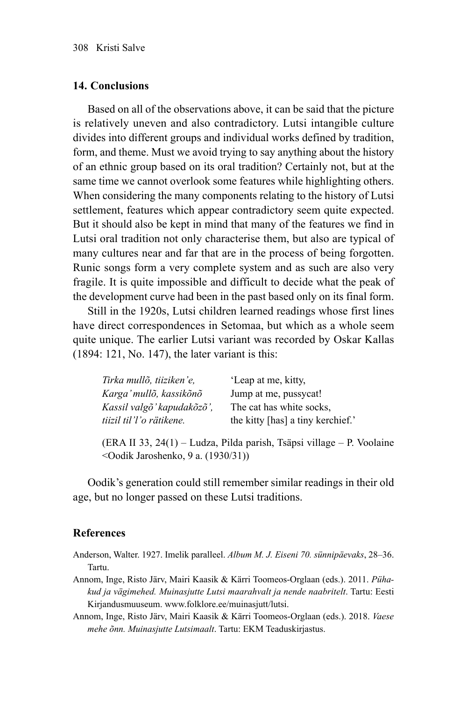#### **14. Conclusions**

Based on all of the observations above, it can be said that the picture is relatively uneven and also contradictory. Lutsi intangible culture divides into different groups and individual works defined by tradition, form, and theme. Must we avoid trying to say anything about the history of an ethnic group based on its oral tradition? Certainly not, but at the same time we cannot overlook some features while highlighting others. When considering the many components relating to the history of Lutsi settlement, features which appear contradictory seem quite expected. But it should also be kept in mind that many of the features we find in Lutsi oral tradition not only characterise them, but also are typical of many cultures near and far that are in the process of being forgotten. Runic songs form a very complete system and as such are also very fragile. It is quite impossible and difficult to decide what the peak of the development curve had been in the past based only on its final form.

Still in the 1920s, Lutsi children learned readings whose first lines have direct correspondences in Setomaa, but which as a whole seem quite unique. The earlier Lutsi variant was recorded by Oskar Kallas (1894: 121, No. 147), the later variant is this:

| Tirka mullõ, tiiziken'e,   | 'Leap at me, kitty,               |
|----------------------------|-----------------------------------|
| Karga' mullõ, kassikõnõ    | Jump at me, pussycat!             |
| Kassil valgõ' kapudakõzõ', | The cat has white socks.          |
| tiizil til'l'o rätikene.   | the kitty [has] a tiny kerchief.' |

(ERA II 33, 24(1) – Ludza, Pilda parish, Tsäpsi village – P. Voolaine <Oodik Jaroshenko, 9 a. (1930/31))

Oodik's generation could still remember similar readings in their old age, but no longer passed on these Lutsi traditions.

#### **References**

- Anderson, Walter. 1927. Imelik paralleel. *Album M. J. Eiseni 70. sünnipäevaks*, 28–36. Tartu.
- Annom, Inge, Risto Järv, Mairi Kaasik & Kärri Toomeos-Orglaan (eds.). 2011. *Pühakud ja vägimehed. Muinasjutte Lutsi maarahvalt ja nende naabritelt*. Tartu: Eesti Kirjandusmuuseum. [www.folklore.ee/muinasjutt/lutsi](http://www.folklore.ee/muinasjutt/lutsi).
- Annom, Inge, Risto Järv, Mairi Kaasik & Kärri Toomeos-Orglaan (eds.). 2018. *Vaese mehe õnn. Muinasjutte Lutsimaalt*. Tartu: EKM Teaduskirjastus.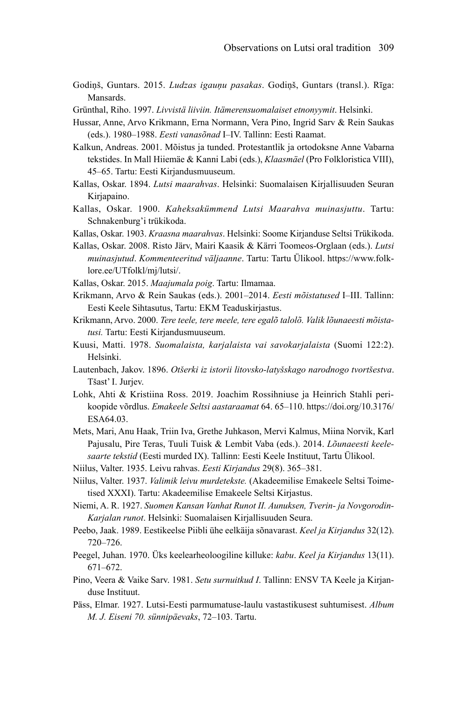- Godiņš, Guntars. 2015. *Ludzas igauņu pasakas*. Godiņš, Guntars (transl.). Rīga: Mansards.
- Grünthal, Riho. 1997. *Livvistä liiviin. Itämerensuomalaiset etnonyymit*. Helsinki.
- Hussar, Anne, Arvo Krikmann, Erna Normann, Vera Pino, Ingrid Sarv & Rein Saukas (eds.). 1980–1988. *Eesti vanasõnad* I–IV. Tallinn: Eesti Raamat.
- Kalkun, Andreas. 2001. Mõistus ja tunded. Protestantlik ja ortodoksne Anne Vabarna tekstides. In Mall Hiiemäe & Kanni Labi (eds.), *Klaasmäel* (Pro Folkloristica VIII), 45–65. Tartu: Eesti Kirjandusmuuseum.
- Kallas, Oskar. 1894. *Lutsi maarahvas*. Helsinki: Suomalaisen Kirjallisuuden Seuran Kirjapaino.
- Kallas, Oskar. 1900. *Kaheksakümmend Lutsi Maarahva muinasjuttu*. Tartu: Schnakenburg'i trükikoda.
- Kallas, Oskar. 1903. *Kraasna maarahvas*. Helsinki: Soome Kirjanduse Seltsi Trükikoda.
- Kallas, Oskar. 2008. Risto Järv, Mairi Kaasik & Kärri Toomeos-Orglaan (eds.). *Lutsi muinasjutud*. *Kommenteeritud väljaanne*. Tartu: Tartu Ülikool. [https://www.folk](https://www.folklore.ee/UTfolkl/mj/lutsi/)[lore.ee/UTfolkl/mj/lutsi/](https://www.folklore.ee/UTfolkl/mj/lutsi/).
- Kallas, Oskar. 2015. *Maajumala poig*. Tartu: Ilmamaa.
- Krikmann, Arvo & Rein Saukas (eds.). 2001–2014. *Eesti mõistatused* I–III. Tallinn: Eesti Keele Sihtasutus, Tartu: EKM Teaduskirjastus.
- Krikmann, Arvo. 2000. *Tere teele, tere meele, tere egalõ talolõ. Valik lõunaeesti mõistatusi.* Tartu: Eesti Kirjandusmuuseum.
- Kuusi, Matti. 1978. *Suomalaista, karjalaista vai savokarjalaista* (Suomi 122:2). Helsinki.
- Lautenbach, Jakov. 1896. *Otšerki iz istorii litovsko-latyšskago narodnogo tvortšestva*. Tšast' I. Jurjev.
- Lohk, Ahti & Kristiina Ross. 2019. Joachim Rossihniuse ja Heinrich Stahli perikoopide võrdlus. *Emakeele Seltsi aastaraamat* 64. 65–110. [https://doi.org/10.3176/](https://doi.org/10.3176/ESA64.03) [ESA64.03](https://doi.org/10.3176/ESA64.03).
- Mets, Mari, Anu Haak, Triin Iva, Grethe Juhkason, Mervi Kalmus, Miina Norvik, Karl Pajusalu, Pire Teras, Tuuli Tuisk & Lembit Vaba (eds.). 2014. *Lõunaeesti keelesaarte tekstid* (Eesti murded IX). Tallinn: Eesti Keele Instituut, Tartu Ülikool.
- Niilus, Valter. 1935. Leivu rahvas. *Eesti Kirjandus* 29(8). 365–381.
- Niilus, Valter. 1937. *Valimik leivu murdetekste.* (Akadeemilise Emakeele Seltsi Toimetised XXXI). Tartu: Akadeemilise Emakeele Seltsi Kirjastus.
- Niemi, A. R. 1927. *Suomen Kansan Vanhat Runot II. Aunuksen, Tverin- ja Novgorodin-Karjalan runot*. Helsinki: Suomalaisen Kirjallisuuden Seura.
- Peebo, Jaak. 1989. Eestikeelse Piibli ühe eelkäija sõnavarast. *Keel ja Kirjandus* 32(12). 720–726.
- Peegel, Juhan. 1970. Üks keelearheoloogiline killuke: *kabu*. *Keel ja Kirjandus* 13(11). 671–672.
- Pino, Veera & Vaike Sarv. 1981. *Setu surnuitkud I*. Tallinn: ENSV TA Keele ja Kirjanduse Instituut.
- Päss, Elmar. 1927. Lutsi-Eesti parmumatuse-laulu vastastikusest suhtumisest. *Album M. J. Eiseni 70. sünnipäevaks*, 72–103. Tartu.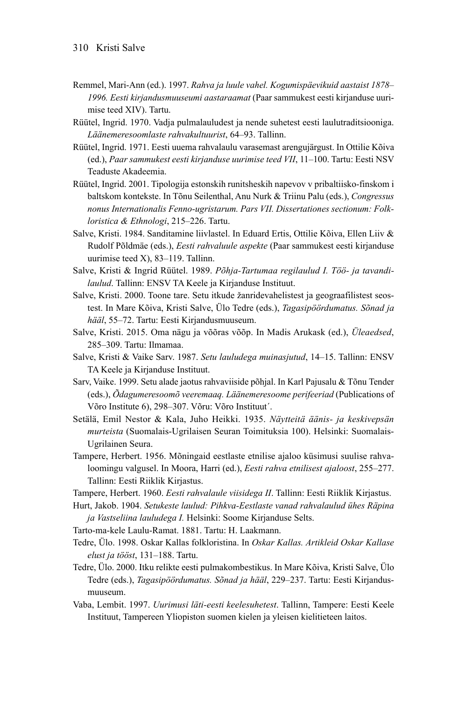- Remmel, Mari-Ann (ed.). 1997. *Rahva ja luule vahel. Kogumispäevikuid aastaist 1878– 1996. Eesti kirjandusmuuseumi aastaraamat* (Paar sammukest eesti kirjanduse uurimise teed XIV). Tartu.
- Rüütel, Ingrid. 1970. Vadja pulmalauludest ja nende suhetest eesti laulutraditsiooniga. *Läänemeresoomlaste rahvakultuurist*, 64–93. Tallinn.
- Rüütel, Ingrid. 1971. Eesti uuema rahvalaulu varasemast arengujärgust. In Ottilie Kõiva (ed.), *Paar sammukest eesti kirjanduse uurimise teed VII*, 11–100. Tartu: Eesti NSV Teaduste Akadeemia.
- Rüütel, Ingrid. 2001. Tipologija estonskih runitsheskih napevov v pribaltiisko-finskom i baltskom kontekste. In Tõnu Seilenthal, Anu Nurk & Triinu Palu (eds.), *Congressus nonus Internationalis Fenno-ugristarum. Pars VII. Dissertationes sectionum: Folkloristica & Ethnologi*, 215–226. Tartu.
- Salve, Kristi. 1984. Sanditamine liivlastel. In Eduard Ertis, Ottilie Kõiva, Ellen Liiv & Rudolf Põldmäe (eds.), *Eesti rahvaluule aspekte* (Paar sammukest eesti kirjanduse uurimise teed X), 83–119. Tallinn.
- Salve, Kristi & Ingrid Rüütel. 1989. *Põhja-Tartumaa regilaulud I. Töö- ja tavandilaulud*. Tallinn: ENSV TA Keele ja Kirjanduse Instituut.
- Salve, Kristi. 2000. Toone tare. Setu itkude žanridevahelistest ja geograafilistest seostest. In Mare Kõiva, Kristi Salve, Ülo Tedre (eds.), *Tagasipöördumatus. Sõnad ja hääl*, 55–72. Tartu: Eesti Kirjandusmuuseum.
- Salve, Kristi. 2015. Oma nägu ja võõras võõp. In Madis Arukask (ed.), *Üleaedsed*, 285–309. Tartu: Ilmamaa.
- Salve, Kristi & Vaike Sarv. 1987. *Setu lauludega muinasjutud*, 14–15. Tallinn: ENSV TA Keele ja Kirjanduse Instituut.
- Sarv, Vaike. 1999. Setu alade jaotus rahvaviiside põhjal. In Karl Pajusalu & Tõnu Tender (eds.), *Õdagumeresoomõ veeremaaq. Läänemeresoome perifeeriad* (Publications of Võro Institute 6), 298–307. Võru: Võro Instituut´.
- Setälä, Emil Nestor & Kala, Juho Heikki. 1935. *Näytteitä äänis- ja keskivepsän murteista* (Suomalais-Ugrilaisen Seuran Toimituksia 100). Helsinki: Suomalais-Ugrilainen Seura.
- Tampere, Herbert. 1956. Mõningaid eestlaste etnilise ajaloo küsimusi suulise rahvaloomingu valgusel. In Moora, Harri (ed.), *Eesti rahva etnilisest ajaloost*, 255–277. Tallinn: Eesti Riiklik Kirjastus.
- Tampere, Herbert. 1960. *Eesti rahvalaule viisidega II*. Tallinn: Eesti Riiklik Kirjastus.
- Hurt, Jakob. 1904. *Setukeste laulud: Pihkva-Eestlaste vanad rahvalaulud ühes Räpina ja Vastseliina lauludega I.* Helsinki: Soome Kirjanduse Selts.
- Tarto-ma-kele Laulu-Ramat. 1881. Tartu: H. Laakmann.
- Tedre, Ülo. 1998. Oskar Kallas folkloristina. In *Oskar Kallas. Artikleid Oskar Kallase elust ja tööst*, 131–188. Tartu.
- Tedre, Ülo. 2000. Itku relikte eesti pulmakombestikus. In Mare Kõiva, Kristi Salve, Ülo Tedre (eds.), *Tagasipöördumatus. Sõnad ja hääl*, 229–237. Tartu: Eesti Kirjandusmuuseum.
- Vaba, Lembit. 1997. *Uurimusi läti-eesti keelesuhetest*. Tallinn, Tampere: Eesti Keele Instituut, Tampereen Yliopiston suomen kielen ja yleisen kielitieteen laitos.